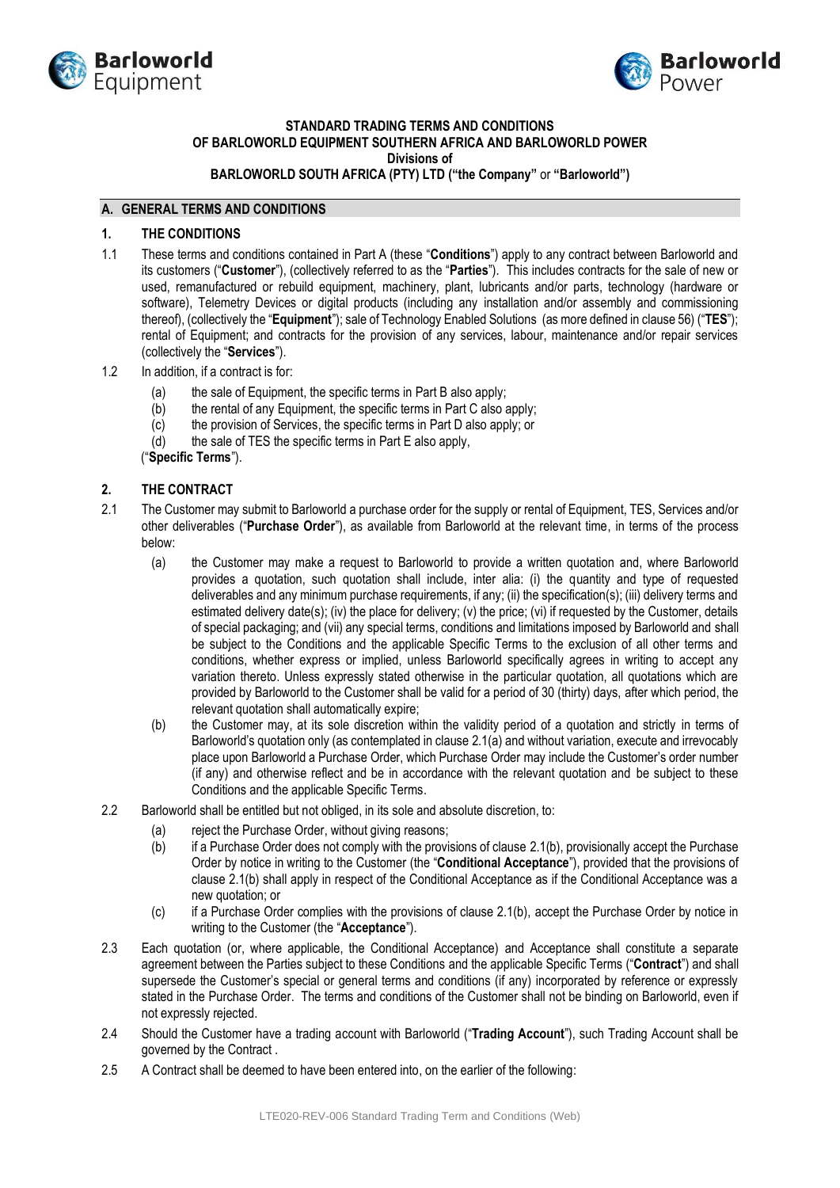



# **STANDARD TRADING TERMS AND CONDITIONS OF BARLOWORLD EQUIPMENT SOUTHERN AFRICA AND BARLOWORLD POWER**

**Divisions of** 

**BARLOWORLD SOUTH AFRICA (PTY) LTD ("the Company"** or **"Barloworld")**

## **A. GENERAL TERMS AND CONDITIONS**

### **1. THE CONDITIONS**

- 1.1 These terms and conditions contained in Part A (these "**Conditions**") apply to any contract between Barloworld and its customers ("**Customer**"), (collectively referred to as the "**Parties**"). This includes contracts for the sale of new or used, remanufactured or rebuild equipment, machinery, plant, lubricants and/or parts, technology (hardware or software), Telemetry Devices or digital products (including any installation and/or assembly and commissioning thereof), (collectively the "**Equipment**"); sale of Technology Enabled Solutions (as more defined in clause 56) ("**TES**"); rental of Equipment; and contracts for the provision of any services, labour, maintenance and/or repair services (collectively the "**Services**").
- 1.2 In addition, if a contract is for:
	- (a) the sale of Equipment, the specific terms in Part B also apply;
	- (b) the rental of any Equipment, the specific terms in Part C also apply;
	- (c) the provision of Services, the specific terms in Part D also apply; or
	- (d) the sale of TES the specific terms in Part E also apply,

("**Specific Terms**").

## **2. THE CONTRACT**

- <span id="page-0-1"></span><span id="page-0-0"></span>2.1 The Customer may submit to Barloworld a purchase order for the supply or rental of Equipment, TES, Services and/or other deliverables ("**Purchase Order**"), as available from Barloworld at the relevant time, in terms of the process below:
	- (a) the Customer may make a request to Barloworld to provide a written quotation and, where Barloworld provides a quotation, such quotation shall include, inter alia: (i) the quantity and type of requested deliverables and any minimum purchase requirements, if any; (ii) the specification(s); (iii) delivery terms and estimated delivery date(s); (iv) the place for delivery; (v) the price; (vi) if requested by the Customer, details of special packaging; and (vii) any special terms, conditions and limitations imposed by Barloworld and shall be subject to the Conditions and the applicable Specific Terms to the exclusion of all other terms and conditions, whether express or implied, unless Barloworld specifically agrees in writing to accept any variation thereto. Unless expressly stated otherwise in the particular quotation, all quotations which are provided by Barloworld to the Customer shall be valid for a period of 30 (thirty) days, after which period, the relevant quotation shall automatically expire;
	- (b) the Customer may, at its sole discretion within the validity period of a quotation and strictly in terms of Barloworld's quotation only (as contemplated in clause [2.1](#page-0-0)[\(a\)](#page-0-1) and without variation, execute and irrevocably place upon Barloworld a Purchase Order, which Purchase Order may include the Customer's order number (if any) and otherwise reflect and be in accordance with the relevant quotation and be subject to these Conditions and the applicable Specific Terms.
- <span id="page-0-2"></span>2.2 Barloworld shall be entitled but not obliged, in its sole and absolute discretion, to:
	- (a) reject the Purchase Order, without giving reasons;
	- (b) if a Purchase Order does not comply with the provisions of claus[e 2.1\(b\),](#page-0-2) provisionally accept the Purchase Order by notice in writing to the Customer (the "**Conditional Acceptance**"), provided that the provisions of clause [2.1\(b\)](#page-0-2) shall apply in respect of the Conditional Acceptance as if the Conditional Acceptance was a new quotation; or
	- (c) if a Purchase Order complies with the provisions of clause 2.1(b), accept the Purchase Order by notice in writing to the Customer (the "**Acceptance**").
- 2.3 Each quotation (or, where applicable, the Conditional Acceptance) and Acceptance shall constitute a separate agreement between the Parties subject to these Conditions and the applicable Specific Terms ("**Contract**") and shall supersede the Customer's special or general terms and conditions (if any) incorporated by reference or expressly stated in the Purchase Order. The terms and conditions of the Customer shall not be binding on Barloworld, even if not expressly rejected.
- 2.4 Should the Customer have a trading account with Barloworld ("**Trading Account**"), such Trading Account shall be governed by the Contract .
- 2.5 A Contract shall be deemed to have been entered into, on the earlier of the following: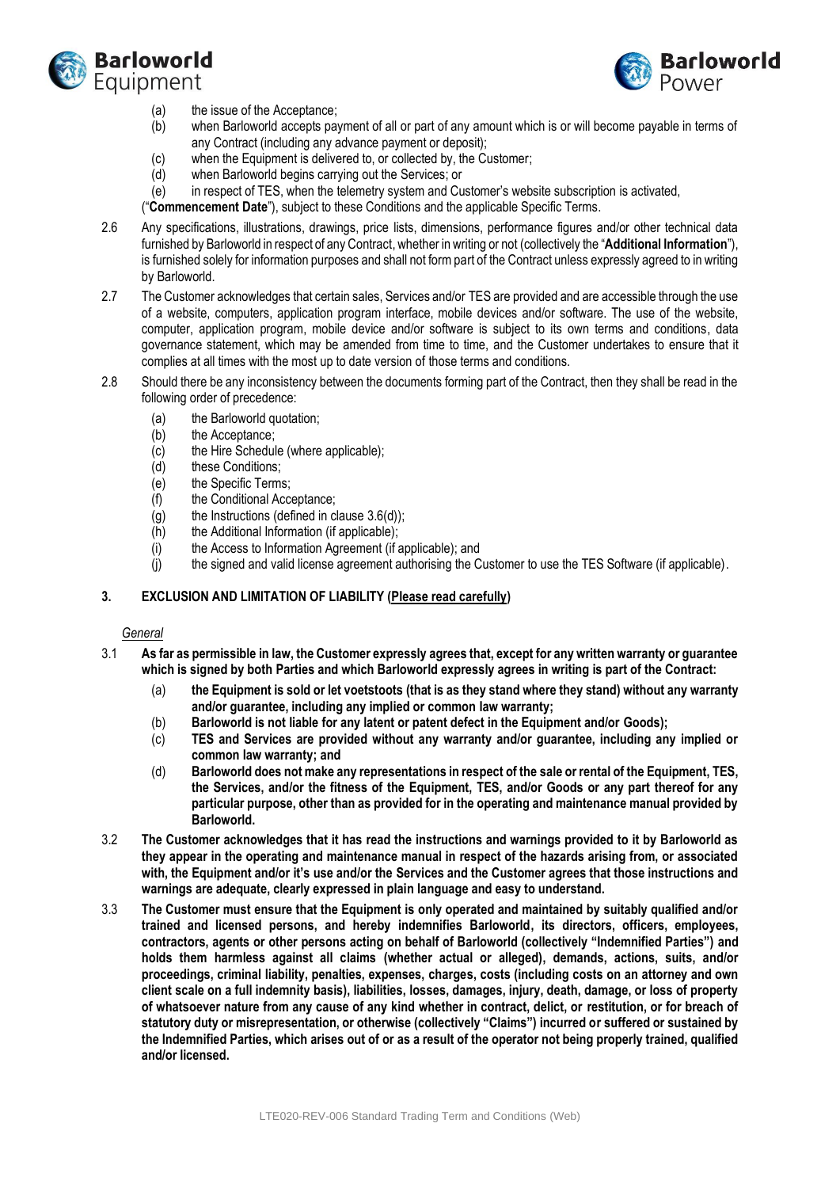



- (a) the issue of the Acceptance;
- (b) when Barloworld accepts payment of all or part of any amount which is or will become payable in terms of any Contract (including any advance payment or deposit);
- (c) when the Equipment is delivered to, or collected by, the Customer;
- (d) when Barloworld begins carrying out the Services; or
- (e) in respect of TES, when the telemetry system and Customer's website subscription is activated,

("**Commencement Date**"), subject to these Conditions and the applicable Specific Terms.

- 2.6 Any specifications, illustrations, drawings, price lists, dimensions, performance figures and/or other technical data furnished by Barloworld in respect of any Contract, whether in writing or not (collectively the "**Additional Information**"), is furnished solely for information purposes and shall not form part of the Contract unless expressly agreed to in writing by Barloworld.
- 2.7 The Customer acknowledges that certain sales, Services and/or TES are provided and are accessible through the use of a website, computers, application program interface, mobile devices and/or software. The use of the website, computer, application program, mobile device and/or software is subject to its own terms and conditions, data governance statement, which may be amended from time to time, and the Customer undertakes to ensure that it complies at all times with the most up to date version of those terms and conditions.
- 2.8 Should there be any inconsistency between the documents forming part of the Contract, then they shall be read in the following order of precedence:
	- (a) the Barloworld quotation;
	- (b) the Acceptance;
	- (c) the Hire Schedule (where applicable);
	- (d) these Conditions;
	- (e) the Specific Terms;
	- (f) the Conditional Acceptance;
	- (g) the Instructions (defined in clause [3.6\(d\)\)](#page-2-0);
	- (h) the Additional Information (if applicable);
	- (i) the Access to Information Agreement (if applicable); and
	- (j) the signed and valid license agreement authorising the Customer to use the TES Software (if applicable).

### <span id="page-1-0"></span>**3. EXCLUSION AND LIMITATION OF LIABILITY (Please read carefully)**

#### *General*

- 3.1 **As far as permissible in law, the Customer expressly agrees that, except for any written warranty or guarantee which is signed by both Parties and which Barloworld expressly agrees in writing is part of the Contract:**
	- (a) **the Equipment is sold or let voetstoots (that is as they stand where they stand) without any warranty and/or guarantee, including any implied or common law warranty;**
	- (b) **Barloworld is not liable for any latent or patent defect in the Equipment and/or Goods);**
	- (c) **TES and Services are provided without any warranty and/or guarantee, including any implied or common law warranty; and**
	- (d) **Barloworld does not make any representations in respect of the sale or rental of the Equipment, TES, the Services, and/or the fitness of the Equipment, TES, and/or Goods or any part thereof for any particular purpose, other than as provided for in the operating and maintenance manual provided by Barloworld.**
- 3.2 **The Customer acknowledges that it has read the instructions and warnings provided to it by Barloworld as they appear in the operating and maintenance manual in respect of the hazards arising from, or associated with, the Equipment and/or it's use and/or the Services and the Customer agrees that those instructions and warnings are adequate, clearly expressed in plain language and easy to understand.**
- 3.3 **The Customer must ensure that the Equipment is only operated and maintained by suitably qualified and/or trained and licensed persons, and hereby indemnifies Barloworld, its directors, officers, employees, contractors, agents or other persons acting on behalf of Barloworld (collectively "Indemnified Parties") and holds them harmless against all claims (whether actual or alleged), demands, actions, suits, and/or proceedings, criminal liability, penalties, expenses, charges, costs (including costs on an attorney and own client scale on a full indemnity basis), liabilities, losses, damages, injury, death, damage, or loss of property of whatsoever nature from any cause of any kind whether in contract, delict, or restitution, or for breach of statutory duty or misrepresentation, or otherwise (collectively "Claims") incurred or suffered or sustained by the Indemnified Parties, which arises out of or as a result of the operator not being properly trained, qualified and/or licensed.**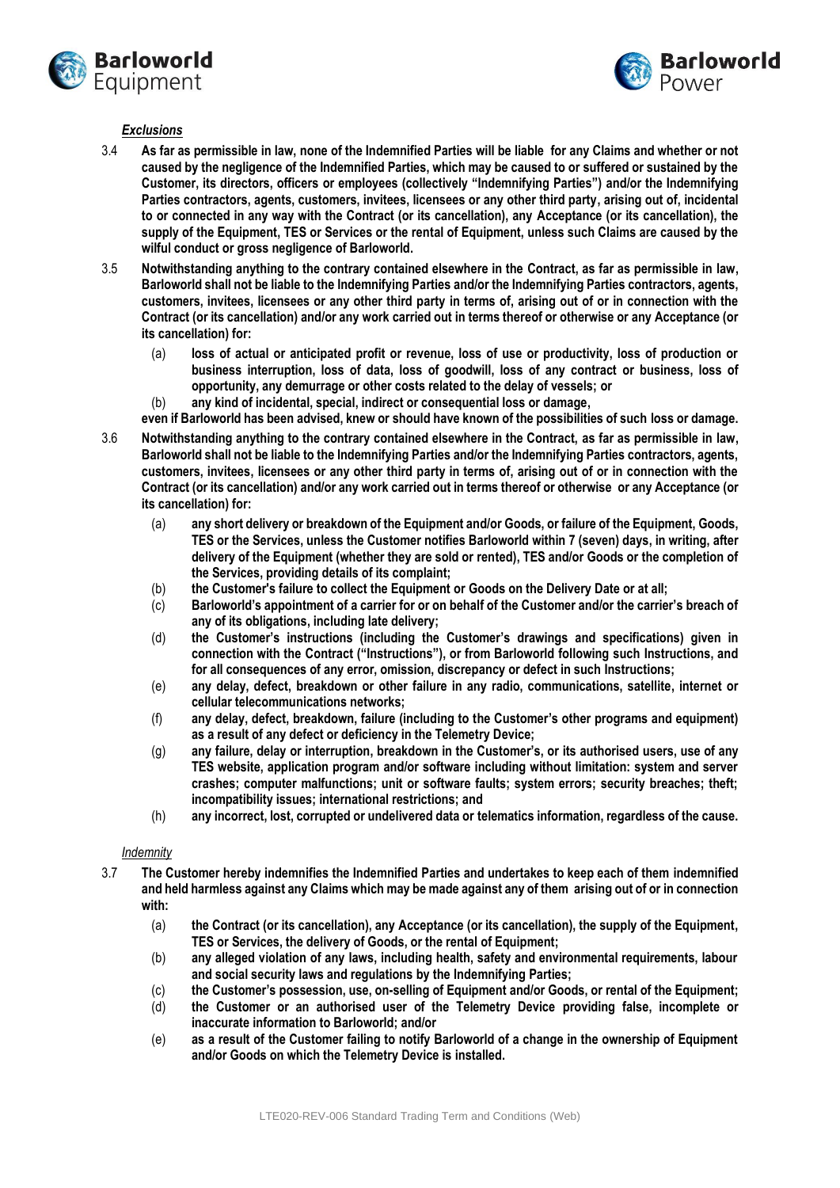



#### *Exclusions*

- 3.4 **As far as permissible in law, none of the Indemnified Parties will be liable for any Claims and whether or not caused by the negligence of the Indemnified Parties, which may be caused to or suffered or sustained by the Customer, its directors, officers or employees (collectively "Indemnifying Parties") and/or the Indemnifying Parties contractors, agents, customers, invitees, licensees or any other third party, arising out of, incidental to or connected in any way with the Contract (or its cancellation), any Acceptance (or its cancellation), the supply of the Equipment, TES or Services or the rental of Equipment, unless such Claims are caused by the wilful conduct or gross negligence of Barloworld.**
- 3.5 **Notwithstanding anything to the contrary contained elsewhere in the Contract, as far as permissible in law, Barloworld shall not be liable to the Indemnifying Parties and/or the Indemnifying Parties contractors, agents, customers, invitees, licensees or any other third party in terms of, arising out of or in connection with the Contract (or its cancellation) and/or any work carried out in terms thereof or otherwise or any Acceptance (or its cancellation) for:** 
	- (a) **loss of actual or anticipated profit or revenue, loss of use or productivity, loss of production or business interruption, loss of data, loss of goodwill, loss of any contract or business, loss of opportunity, any demurrage or other costs related to the delay of vessels; or**
	- (b) **any kind of incidental, special, indirect or consequential loss or damage,**
	- **even if Barloworld has been advised, knew or should have known of the possibilities of such loss or damage.**
- <span id="page-2-0"></span>3.6 **Notwithstanding anything to the contrary contained elsewhere in the Contract, as far as permissible in law, Barloworld shall not be liable to the Indemnifying Parties and/or the Indemnifying Parties contractors, agents, customers, invitees, licensees or any other third party in terms of, arising out of or in connection with the Contract (or its cancellation) and/or any work carried out in terms thereof or otherwise or any Acceptance (or its cancellation) for:** 
	- (a) **any short delivery or breakdown of the Equipment and/or Goods, or failure of the Equipment, Goods, TES or the Services, unless the Customer notifies Barloworld within 7 (seven) days, in writing, after delivery of the Equipment (whether they are sold or rented), TES and/or Goods or the completion of the Services, providing details of its complaint;**
	- (b) **the Customer's failure to collect the Equipment or Goods on the Delivery Date or at all;**
	- (c) **Barloworld's appointment of a carrier for or on behalf of the Customer and/or the carrier's breach of any of its obligations, including late delivery;**
	- (d) **the Customer's instructions (including the Customer's drawings and specifications) given in connection with the Contract ("Instructions"), or from Barloworld following such Instructions, and for all consequences of any error, omission, discrepancy or defect in such Instructions;**
	- (e) **any delay, defect, breakdown or other failure in any radio, communications, satellite, internet or cellular telecommunications networks;**
	- (f) **any delay, defect, breakdown, failure (including to the Customer's other programs and equipment) as a result of any defect or deficiency in the Telemetry Device;**
	- (g) **any failure, delay or interruption, breakdown in the Customer's, or its authorised users, use of any TES website, application program and/or software including without limitation: system and server crashes; computer malfunctions; unit or software faults; system errors; security breaches; theft; incompatibility issues; international restrictions; and**
	- (h) **any incorrect, lost, corrupted or undelivered data or telematics information, regardless of the cause.**

#### *Indemnity*

- 3.7 **The Customer hereby indemnifies the Indemnified Parties and undertakes to keep each of them indemnified and held harmless against any Claims which may be made against any of them arising out of or in connection with:**
	- (a) **the Contract (or its cancellation), any Acceptance (or its cancellation), the supply of the Equipment, TES or Services, the delivery of Goods, or the rental of Equipment;**
	- (b) **any alleged violation of any laws, including health, safety and environmental requirements, labour and social security laws and regulations by the Indemnifying Parties;**
	- (c) **the Customer's possession, use, on-selling of Equipment and/or Goods, or rental of the Equipment;**
	- (d) **the Customer or an authorised user of the Telemetry Device providing false, incomplete or inaccurate information to Barloworld; and/or**
	- (e) **as a result of the Customer failing to notify Barloworld of a change in the ownership of Equipment and/or Goods on which the Telemetry Device is installed.**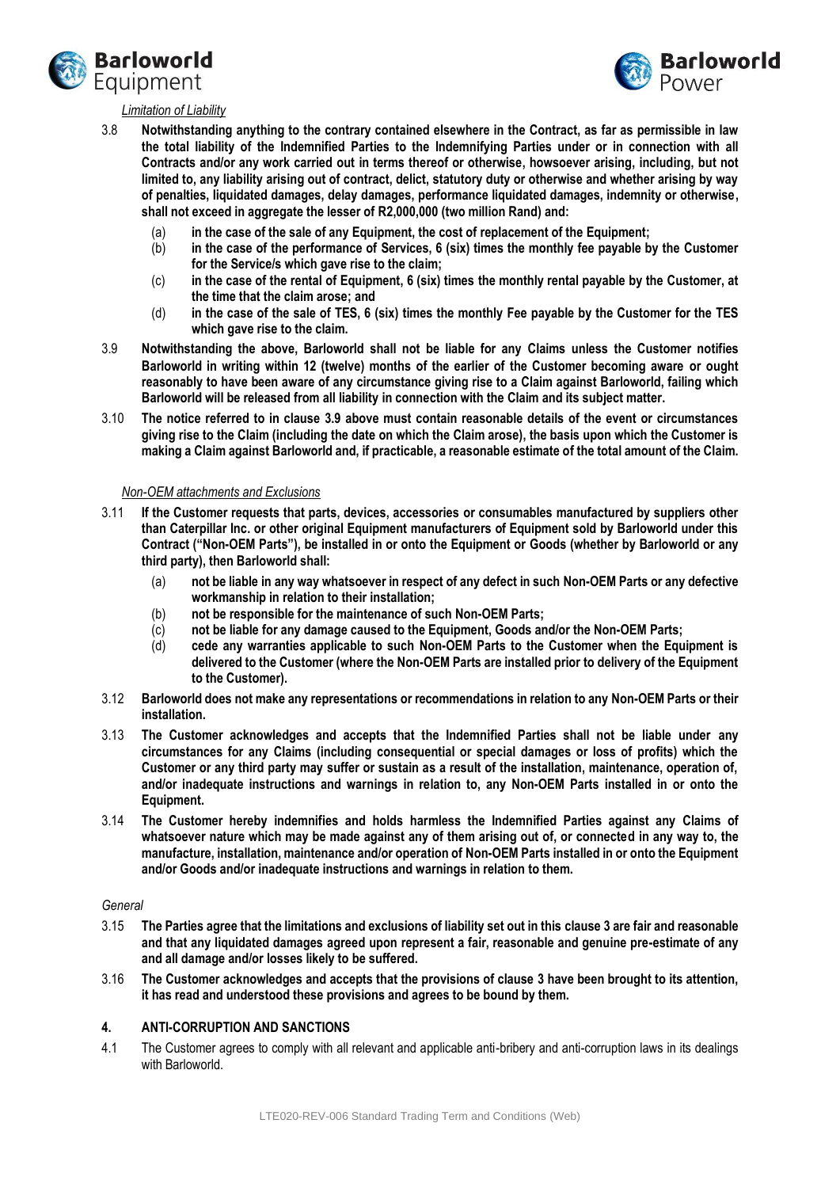



#### *Limitation of Liability*

- 3.8 **Notwithstanding anything to the contrary contained elsewhere in the Contract, as far as permissible in law the total liability of the Indemnified Parties to the Indemnifying Parties under or in connection with all Contracts and/or any work carried out in terms thereof or otherwise, howsoever arising, including, but not limited to, any liability arising out of contract, delict, statutory duty or otherwise and whether arising by way of penalties, liquidated damages, delay damages, performance liquidated damages, indemnity or otherwise, shall not exceed in aggregate the lesser of R2,000,000 (two million Rand) and:** 
	- (a) **in the case of the sale of any Equipment, the cost of replacement of the Equipment;**
	- (b) **in the case of the performance of Services, 6 (six) times the monthly fee payable by the Customer for the Service/s which gave rise to the claim;**
	- (c) **in the case of the rental of Equipment, 6 (six) times the monthly rental payable by the Customer, at the time that the claim arose; and**
	- (d) **in the case of the sale of TES, 6 (six) times the monthly Fee payable by the Customer for the TES which gave rise to the claim.**
- <span id="page-3-0"></span>3.9 **Notwithstanding the above, Barloworld shall not be liable for any Claims unless the Customer notifies Barloworld in writing within 12 (twelve) months of the earlier of the Customer becoming aware or ought reasonably to have been aware of any circumstance giving rise to a Claim against Barloworld, failing which Barloworld will be released from all liability in connection with the Claim and its subject matter.**
- 3.10 **The notice referred to in clause [3.9](#page-3-0) above must contain reasonable details of the event or circumstances giving rise to the Claim (including the date on which the Claim arose), the basis upon which the Customer is making a Claim against Barloworld and, if practicable, a reasonable estimate of the total amount of the Claim.**

#### *Non-OEM attachments and Exclusions*

- 3.11 **If the Customer requests that parts, devices, accessories or consumables manufactured by suppliers other than Caterpillar Inc. or other original Equipment manufacturers of Equipment sold by Barloworld under this Contract ("Non-OEM Parts"), be installed in or onto the Equipment or Goods (whether by Barloworld or any third party), then Barloworld shall:**
	- (a) **not be liable in any way whatsoever in respect of any defect in such Non-OEM Parts or any defective workmanship in relation to their installation;**
	- (b) **not be responsible for the maintenance of such Non-OEM Parts;**
	- (c) **not be liable for any damage caused to the Equipment, Goods and/or the Non-OEM Parts;**
	- (d) **cede any warranties applicable to such Non-OEM Parts to the Customer when the Equipment is delivered to the Customer (where the Non-OEM Parts are installed prior to delivery of the Equipment to the Customer).**
- 3.12 **Barloworld does not make any representations or recommendations in relation to any Non-OEM Parts or their installation.**
- 3.13 **The Customer acknowledges and accepts that the Indemnified Parties shall not be liable under any circumstances for any Claims (including consequential or special damages or loss of profits) which the Customer or any third party may suffer or sustain as a result of the installation, maintenance, operation of, and/or inadequate instructions and warnings in relation to, any Non-OEM Parts installed in or onto the Equipment.**
- 3.14 **The Customer hereby indemnifies and holds harmless the Indemnified Parties against any Claims of whatsoever nature which may be made against any of them arising out of, or connected in any way to, the manufacture, installation, maintenance and/or operation of Non-OEM Parts installed in or onto the Equipment and/or Goods and/or inadequate instructions and warnings in relation to them.**

#### *General*

- 3.15 **The Parties agree that the limitations and exclusions of liability set out in this claus[e 3](#page-1-0) are fair and reasonable and that any liquidated damages agreed upon represent a fair, reasonable and genuine pre-estimate of any and all damage and/or losses likely to be suffered.**
- 3.16 **The Customer acknowledges and accepts that the provisions of clause [3](#page-1-0) have been brought to its attention, it has read and understood these provisions and agrees to be bound by them.**

## **4. ANTI-CORRUPTION AND SANCTIONS**

4.1 The Customer agrees to comply with all relevant and applicable anti-bribery and anti-corruption laws in its dealings with Barloworld.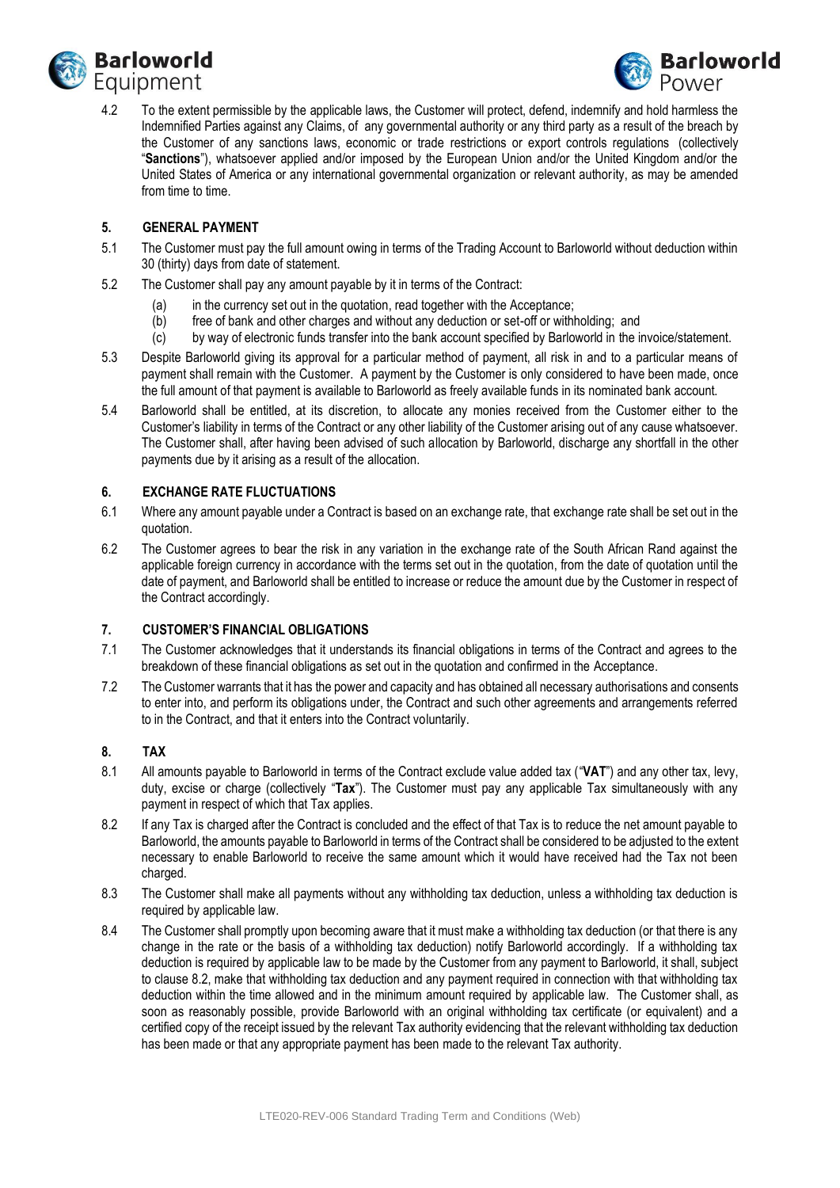



4.2 To the extent permissible by the applicable laws, the Customer will protect, defend, indemnify and hold harmless the Indemnified Parties against any Claims, of any governmental authority or any third party as a result of the breach by the Customer of any sanctions laws, economic or trade restrictions or export controls regulations (collectively "**Sanctions**"), whatsoever applied and/or imposed by the European Union and/or the United Kingdom and/or the United States of America or any international governmental organization or relevant authority, as may be amended from time to time.

## **5. GENERAL PAYMENT**

- 5.1 The Customer must pay the full amount owing in terms of the Trading Account to Barloworld without deduction within 30 (thirty) days from date of statement.
- 5.2 The Customer shall pay any amount payable by it in terms of the Contract:
	- (a) in the currency set out in the quotation, read together with the Acceptance;
	- (b) free of bank and other charges and without any deduction or set-off or withholding; and
	- (c) by way of electronic funds transfer into the bank account specified by Barloworld in the invoice/statement.
- 5.3 Despite Barloworld giving its approval for a particular method of payment, all risk in and to a particular means of payment shall remain with the Customer. A payment by the Customer is only considered to have been made, once the full amount of that payment is available to Barloworld as freely available funds in its nominated bank account.
- 5.4 Barloworld shall be entitled, at its discretion, to allocate any monies received from the Customer either to the Customer's liability in terms of the Contract or any other liability of the Customer arising out of any cause whatsoever. The Customer shall, after having been advised of such allocation by Barloworld, discharge any shortfall in the other payments due by it arising as a result of the allocation.

### **6. EXCHANGE RATE FLUCTUATIONS**

- 6.1 Where any amount payable under a Contract is based on an exchange rate, that exchange rate shall be set out in the quotation.
- 6.2 The Customer agrees to bear the risk in any variation in the exchange rate of the South African Rand against the applicable foreign currency in accordance with the terms set out in the quotation, from the date of quotation until the date of payment, and Barloworld shall be entitled to increase or reduce the amount due by the Customer in respect of the Contract accordingly.

## **7. CUSTOMER'S FINANCIAL OBLIGATIONS**

- 7.1 The Customer acknowledges that it understands its financial obligations in terms of the Contract and agrees to the breakdown of these financial obligations as set out in the quotation and confirmed in the Acceptance.
- 7.2 The Customer warrants that it has the power and capacity and has obtained all necessary authorisations and consents to enter into, and perform its obligations under, the Contract and such other agreements and arrangements referred to in the Contract, and that it enters into the Contract voluntarily.

## **8. TAX**

- 8.1 All amounts payable to Barloworld in terms of the Contract exclude value added tax ("**VAT**") and any other tax, levy, duty, excise or charge (collectively "**Tax**"). The Customer must pay any applicable Tax simultaneously with any payment in respect of which that Tax applies.
- <span id="page-4-0"></span>8.2 If any Tax is charged after the Contract is concluded and the effect of that Tax is to reduce the net amount payable to Barloworld, the amounts payable to Barloworld in terms of the Contract shall be considered to be adjusted to the extent necessary to enable Barloworld to receive the same amount which it would have received had the Tax not been charged.
- 8.3 The Customer shall make all payments without any withholding tax deduction, unless a withholding tax deduction is required by applicable law.
- 8.4 The Customer shall promptly upon becoming aware that it must make a withholding tax deduction (or that there is any change in the rate or the basis of a withholding tax deduction) notify Barloworld accordingly. If a withholding tax deduction is required by applicable law to be made by the Customer from any payment to Barloworld, it shall, subject to clause [8.2,](#page-4-0) make that withholding tax deduction and any payment required in connection with that withholding tax deduction within the time allowed and in the minimum amount required by applicable law. The Customer shall, as soon as reasonably possible, provide Barloworld with an original withholding tax certificate (or equivalent) and a certified copy of the receipt issued by the relevant Tax authority evidencing that the relevant withholding tax deduction has been made or that any appropriate payment has been made to the relevant Tax authority.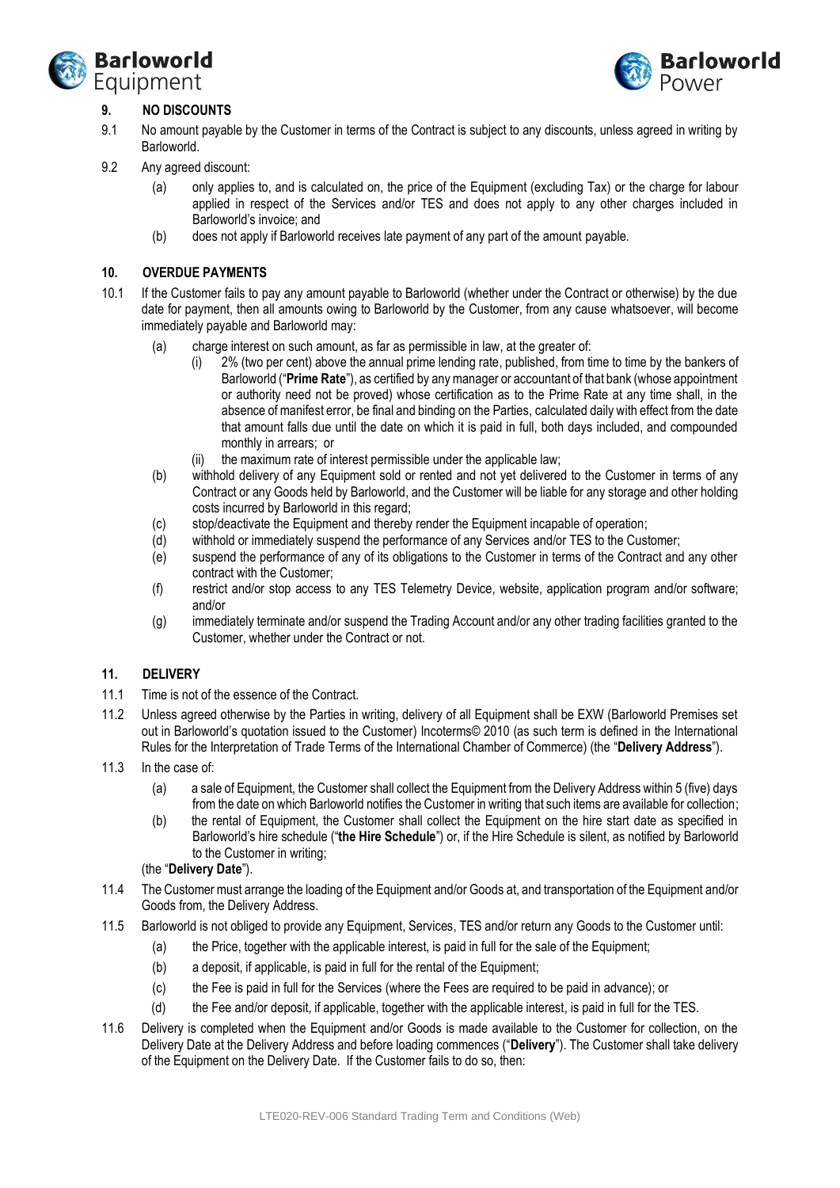



# **9. NO DISCOUNTS**

- 9.1 No amount payable by the Customer in terms of the Contract is subject to any discounts, unless agreed in writing by Barloworld.
- 9.2 Any agreed discount:
	- (a) only applies to, and is calculated on, the price of the Equipment (excluding Tax) or the charge for labour applied in respect of the Services and/or TES and does not apply to any other charges included in Barloworld's invoice; and
	- (b) does not apply if Barloworld receives late payment of any part of the amount payable.

### **10. OVERDUE PAYMENTS**

- 10.1 If the Customer fails to pay any amount payable to Barloworld (whether under the Contract or otherwise) by the due date for payment, then all amounts owing to Barloworld by the Customer, from any cause whatsoever, will become immediately payable and Barloworld may:
	- (a) charge interest on such amount, as far as permissible in law, at the greater of:
		- (i) 2% (two per cent) above the annual prime lending rate, published, from time to time by the bankers of Barloworld ("**Prime Rate**"), as certified by any manager or accountant of that bank (whose appointment or authority need not be proved) whose certification as to the Prime Rate at any time shall, in the absence of manifest error, be final and binding on the Parties, calculated daily with effect from the date that amount falls due until the date on which it is paid in full, both days included, and compounded monthly in arrears; or
		- (ii) the maximum rate of interest permissible under the applicable law;
	- (b) withhold delivery of any Equipment sold or rented and not yet delivered to the Customer in terms of any Contract or any Goods held by Barloworld, and the Customer will be liable for any storage and other holding costs incurred by Barloworld in this regard;
	- (c) stop/deactivate the Equipment and thereby render the Equipment incapable of operation;
	- (d) withhold or immediately suspend the performance of any Services and/or TES to the Customer;
	- (e) suspend the performance of any of its obligations to the Customer in terms of the Contract and any other contract with the Customer;
	- (f) restrict and/or stop access to any TES Telemetry Device, website, application program and/or software; and/or
	- (g) immediately terminate and/or suspend the Trading Account and/or any other trading facilities granted to the Customer, whether under the Contract or not.

#### **11. DELIVERY**

- 11.1 Time is not of the essence of the Contract.
- 11.2 Unless agreed otherwise by the Parties in writing, delivery of all Equipment shall be EXW (Barloworld Premises set out in Barloworld's quotation issued to the Customer) Incoterms© 2010 (as such term is defined in the International Rules for the Interpretation of Trade Terms of the International Chamber of Commerce) (the "**Delivery Address**").
- 11.3 In the case of:
	- (a) a sale of Equipment, the Customer shall collect the Equipment from the Delivery Address within 5 (five) days from the date on which Barloworld notifies the Customer in writing that such items are available for collection;
	- (b) the rental of Equipment, the Customer shall collect the Equipment on the hire start date as specified in Barloworld's hire schedule ("**the Hire Schedule**") or, if the Hire Schedule is silent, as notified by Barloworld to the Customer in writing;

#### (the "**Delivery Date**").

- 11.4 The Customer must arrange the loading of the Equipment and/or Goods at, and transportation of the Equipment and/or Goods from, the Delivery Address.
- 11.5 Barloworld is not obliged to provide any Equipment, Services, TES and/or return any Goods to the Customer until:
	- (a) the Price, together with the applicable interest, is paid in full for the sale of the Equipment;
	- (b) a deposit, if applicable, is paid in full for the rental of the Equipment;
	- (c) the Fee is paid in full for the Services (where the Fees are required to be paid in advance); or
	- (d) the Fee and/or deposit, if applicable, together with the applicable interest, is paid in full for the TES.
- <span id="page-5-0"></span>11.6 Delivery is completed when the Equipment and/or Goods is made available to the Customer for collection, on the Delivery Date at the Delivery Address and before loading commences ("**Delivery**"). The Customer shall take delivery of the Equipment on the Delivery Date. If the Customer fails to do so, then: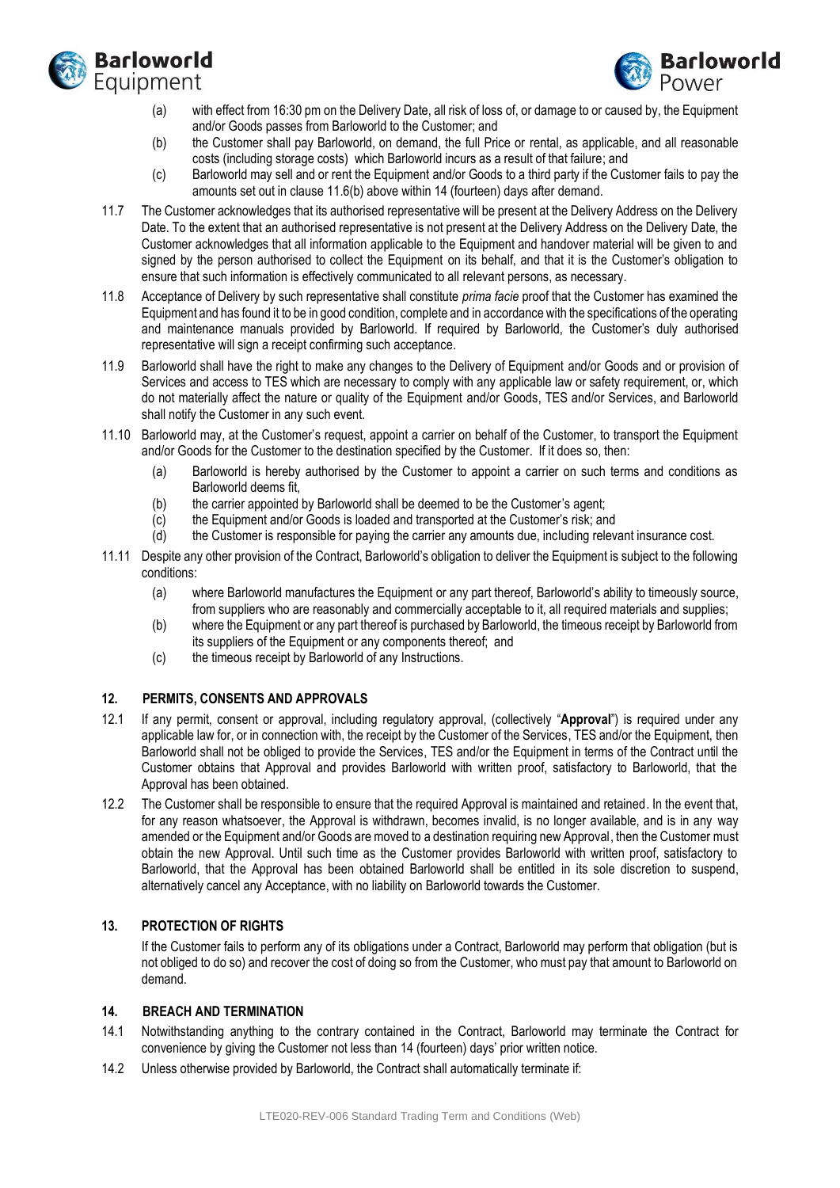



- (a) with effect from 16:30 pm on the Delivery Date, all risk of loss of, or damage to or caused by, the Equipment and/or Goods passes from Barloworld to the Customer; and
- <span id="page-6-0"></span>(b) the Customer shall pay Barloworld, on demand, the full Price or rental, as applicable, and all reasonable costs (including storage costs) which Barloworld incurs as a result of that failure; and
- (c) Barloworld may sell and or rent the Equipment and/or Goods to a third party if the Customer fails to pay the amounts set out in clause [11.6](#page-5-0)[\(b\)](#page-6-0) above within 14 (fourteen) days after demand.
- 11.7 The Customer acknowledges that its authorised representative will be present at the Delivery Address on the Delivery Date. To the extent that an authorised representative is not present at the Delivery Address on the Delivery Date, the Customer acknowledges that all information applicable to the Equipment and handover material will be given to and signed by the person authorised to collect the Equipment on its behalf, and that it is the Customer's obligation to ensure that such information is effectively communicated to all relevant persons, as necessary.
- 11.8 Acceptance of Delivery by such representative shall constitute *prima facie* proof that the Customer has examined the Equipment and has found it to be in good condition, complete and in accordance with the specifications of the operating and maintenance manuals provided by Barloworld. If required by Barloworld, the Customer's duly authorised representative will sign a receipt confirming such acceptance.
- 11.9 Barloworld shall have the right to make any changes to the Delivery of Equipment and/or Goods and or provision of Services and access to TES which are necessary to comply with any applicable law or safety requirement, or, which do not materially affect the nature or quality of the Equipment and/or Goods, TES and/or Services, and Barloworld shall notify the Customer in any such event.
- 11.10 Barloworld may, at the Customer's request, appoint a carrier on behalf of the Customer, to transport the Equipment and/or Goods for the Customer to the destination specified by the Customer. If it does so, then:
	- (a) Barloworld is hereby authorised by the Customer to appoint a carrier on such terms and conditions as Barloworld deems fit,
	- (b) the carrier appointed by Barloworld shall be deemed to be the Customer's agent;
	- (c) the Equipment and/or Goods is loaded and transported at the Customer's risk; and
	- (d) the Customer is responsible for paying the carrier any amounts due, including relevant insurance cost.
- 11.11 Despite any other provision of the Contract, Barloworld's obligation to deliver the Equipment is subject to the following conditions:
	- (a) where Barloworld manufactures the Equipment or any part thereof, Barloworld's ability to timeously source, from suppliers who are reasonably and commercially acceptable to it, all required materials and supplies;
	- (b) where the Equipment or any part thereof is purchased by Barloworld, the timeous receipt by Barloworld from its suppliers of the Equipment or any components thereof; and
	- (c) the timeous receipt by Barloworld of any Instructions.

## **12. PERMITS, CONSENTS AND APPROVALS**

- 12.1 If any permit, consent or approval, including regulatory approval, (collectively "**Approval**") is required under any applicable law for, or in connection with, the receipt by the Customer of the Services, TES and/or the Equipment, then Barloworld shall not be obliged to provide the Services, TES and/or the Equipment in terms of the Contract until the Customer obtains that Approval and provides Barloworld with written proof, satisfactory to Barloworld, that the Approval has been obtained.
- 12.2 The Customer shall be responsible to ensure that the required Approval is maintained and retained. In the event that, for any reason whatsoever, the Approval is withdrawn, becomes invalid, is no longer available, and is in any way amended or the Equipment and/or Goods are moved to a destination requiring new Approval, then the Customer must obtain the new Approval. Until such time as the Customer provides Barloworld with written proof, satisfactory to Barloworld, that the Approval has been obtained Barloworld shall be entitled in its sole discretion to suspend, alternatively cancel any Acceptance, with no liability on Barloworld towards the Customer.

## **13. PROTECTION OF RIGHTS**

If the Customer fails to perform any of its obligations under a Contract, Barloworld may perform that obligation (but is not obliged to do so) and recover the cost of doing so from the Customer, who must pay that amount to Barloworld on demand.

# **14. BREACH AND TERMINATION**

- 14.1 Notwithstanding anything to the contrary contained in the Contract, Barloworld may terminate the Contract for convenience by giving the Customer not less than 14 (fourteen) days' prior written notice.
- 14.2 Unless otherwise provided by Barloworld, the Contract shall automatically terminate if: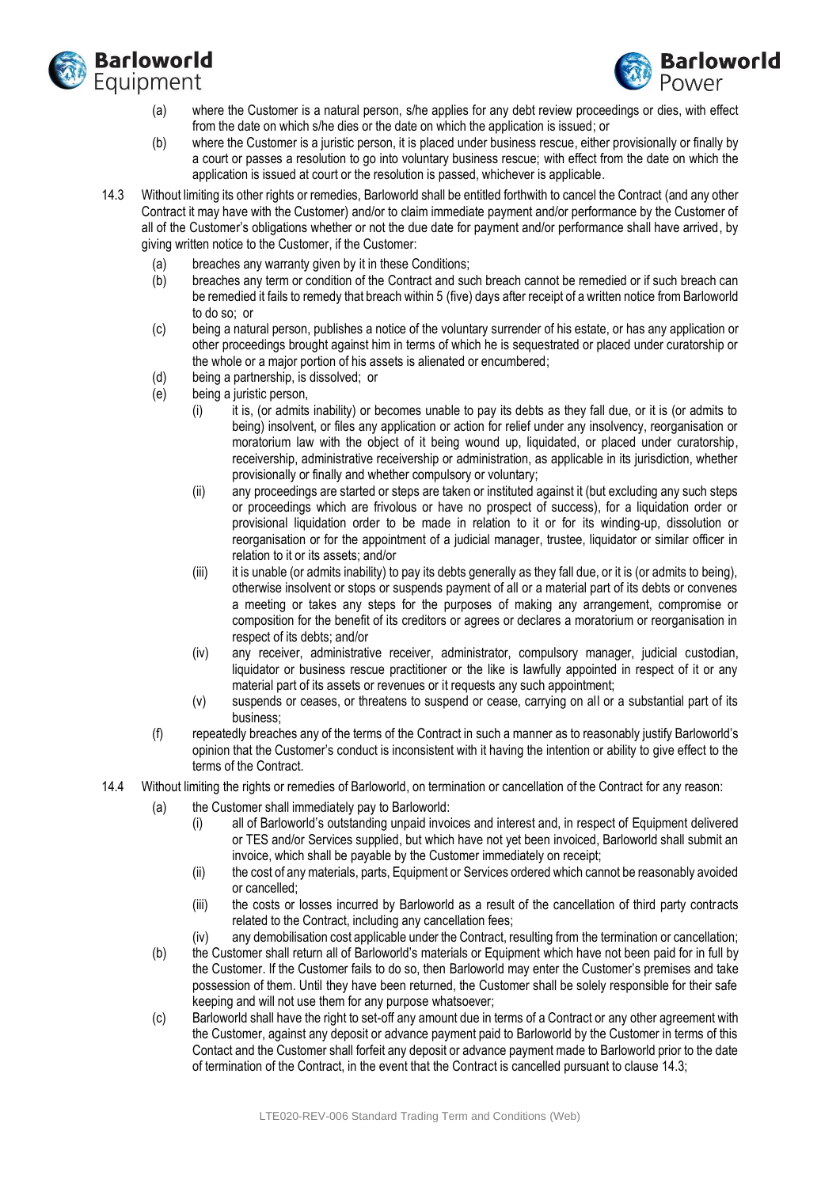



- (a) where the Customer is a natural person, s/he applies for any debt review proceedings or dies, with effect from the date on which s/he dies or the date on which the application is issued; or
- (b) where the Customer is a juristic person, it is placed under business rescue, either provisionally or finally by a court or passes a resolution to go into voluntary business rescue; with effect from the date on which the application is issued at court or the resolution is passed, whichever is applicable.
- <span id="page-7-0"></span>14.3 Without limiting its other rights or remedies, Barloworld shall be entitled forthwith to cancel the Contract (and any other Contract it may have with the Customer) and/or to claim immediate payment and/or performance by the Customer of all of the Customer's obligations whether or not the due date for payment and/or performance shall have arrived, by giving written notice to the Customer, if the Customer:
	- (a) breaches any warranty given by it in these Conditions;
	- (b) breaches any term or condition of the Contract and such breach cannot be remedied or if such breach can be remedied it fails to remedy that breach within 5 (five) days after receipt of a written notice from Barloworld to do so; or
	- (c) being a natural person, publishes a notice of the voluntary surrender of his estate, or has any application or other proceedings brought against him in terms of which he is sequestrated or placed under curatorship or the whole or a major portion of his assets is alienated or encumbered;
	- (d) being a partnership, is dissolved; or
	- (e) being a juristic person,
		- (i) it is, (or admits inability) or becomes unable to pay its debts as they fall due, or it is (or admits to being) insolvent, or files any application or action for relief under any insolvency, reorganisation or moratorium law with the object of it being wound up, liquidated, or placed under curatorship, receivership, administrative receivership or administration, as applicable in its jurisdiction, whether provisionally or finally and whether compulsory or voluntary;
		- (ii) any proceedings are started or steps are taken or instituted against it (but excluding any such steps or proceedings which are frivolous or have no prospect of success), for a liquidation order or provisional liquidation order to be made in relation to it or for its winding-up, dissolution or reorganisation or for the appointment of a judicial manager, trustee, liquidator or similar officer in relation to it or its assets; and/or
		- (iii) it is unable (or admits inability) to pay its debts generally as they fall due, or it is (or admits to being), otherwise insolvent or stops or suspends payment of all or a material part of its debts or convenes a meeting or takes any steps for the purposes of making any arrangement, compromise or composition for the benefit of its creditors or agrees or declares a moratorium or reorganisation in respect of its debts; and/or
		- (iv) any receiver, administrative receiver, administrator, compulsory manager, judicial custodian, liquidator or business rescue practitioner or the like is lawfully appointed in respect of it or any material part of its assets or revenues or it requests any such appointment;
		- (v) suspends or ceases, or threatens to suspend or cease, carrying on all or a substantial part of its business;
	- (f) repeatedly breaches any of the terms of the Contract in such a manner as to reasonably justify Barloworld's opinion that the Customer's conduct is inconsistent with it having the intention or ability to give effect to the terms of the Contract.
- <span id="page-7-1"></span>14.4 Without limiting the rights or remedies of Barloworld, on termination or cancellation of the Contract for any reason:
	- (a) the Customer shall immediately pay to Barloworld:
		- (i) all of Barloworld's outstanding unpaid invoices and interest and, in respect of Equipment delivered or TES and/or Services supplied, but which have not yet been invoiced, Barloworld shall submit an invoice, which shall be payable by the Customer immediately on receipt;
		- (ii) the cost of any materials, parts, Equipment or Services ordered which cannot be reasonably avoided or cancelled;
		- (iii) the costs or losses incurred by Barloworld as a result of the cancellation of third party contracts related to the Contract, including any cancellation fees;
		- (iv) any demobilisation cost applicable under the Contract, resulting from the termination or cancellation;
	- (b) the Customer shall return all of Barloworld's materials or Equipment which have not been paid for in full by the Customer. If the Customer fails to do so, then Barloworld may enter the Customer's premises and take possession of them. Until they have been returned, the Customer shall be solely responsible for their safe keeping and will not use them for any purpose whatsoever;
	- (c) Barloworld shall have the right to set-off any amount due in terms of a Contract or any other agreement with the Customer, against any deposit or advance payment paid to Barloworld by the Customer in terms of this Contact and the Customer shall forfeit any deposit or advance payment made to Barloworld prior to the date of termination of the Contract, in the event that the Contract is cancelled pursuant to claus[e 14.3;](#page-7-0)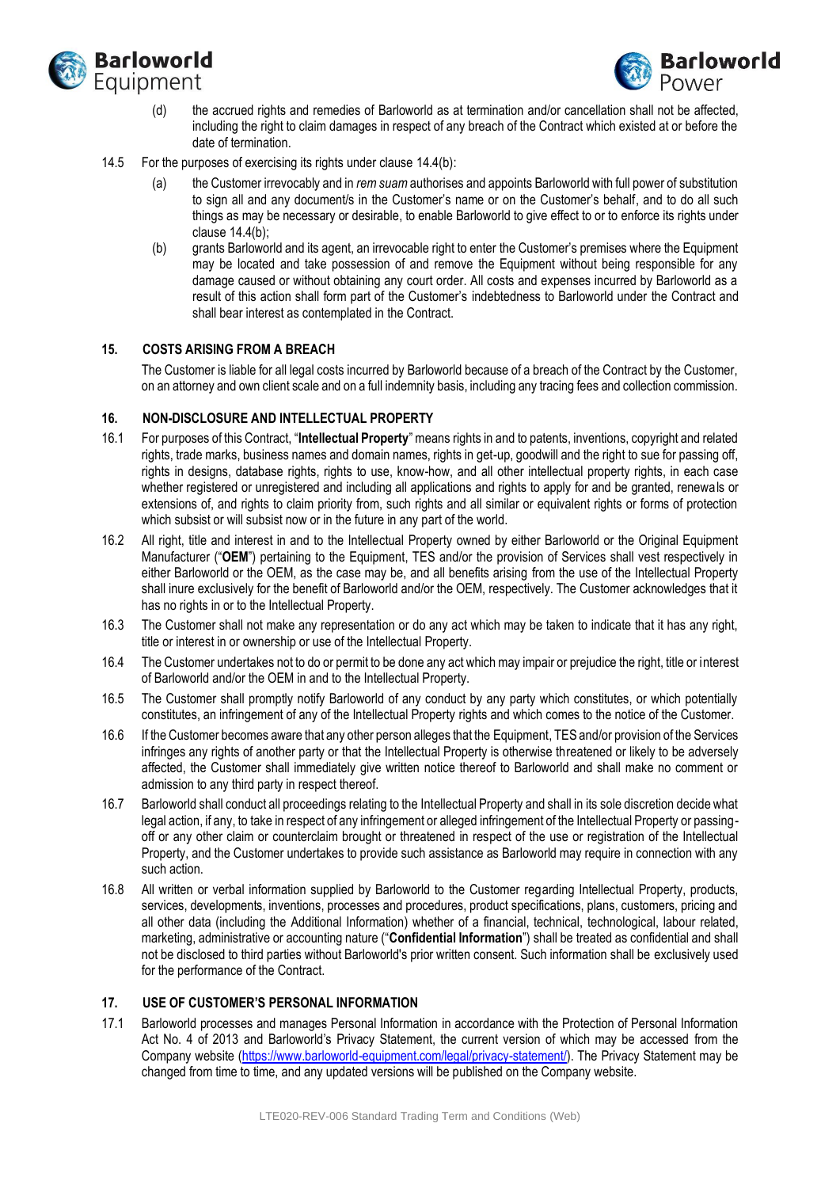



- (d) the accrued rights and remedies of Barloworld as at termination and/or cancellation shall not be affected, including the right to claim damages in respect of any breach of the Contract which existed at or before the date of termination.
- 14.5 For the purposes of exercising its rights under clause [14.4\(b\):](#page-7-1)
	- (a) the Customer irrevocably and in *rem suam* authorises and appoints Barloworld with full power of substitution to sign all and any document/s in the Customer's name or on the Customer's behalf, and to do all such things as may be necessary or desirable, to enable Barloworld to give effect to or to enforce its rights under claus[e 14.4\(b\);](#page-7-1)
	- (b) grants Barloworld and its agent, an irrevocable right to enter the Customer's premises where the Equipment may be located and take possession of and remove the Equipment without being responsible for any damage caused or without obtaining any court order. All costs and expenses incurred by Barloworld as a result of this action shall form part of the Customer's indebtedness to Barloworld under the Contract and shall bear interest as contemplated in the Contract.

### **15. COSTS ARISING FROM A BREACH**

The Customer is liable for all legal costs incurred by Barloworld because of a breach of the Contract by the Customer, on an attorney and own client scale and on a full indemnity basis, including any tracing fees and collection commission.

### **16. NON-DISCLOSURE AND INTELLECTUAL PROPERTY**

- 16.1 For purposes of this Contract, "**Intellectual Property**"means rights in and to patents, inventions, copyright and related rights, trade marks, business names and domain names, rights in get-up, goodwill and the right to sue for passing off, rights in designs, database rights, rights to use, know-how, and all other intellectual property rights, in each case whether registered or unregistered and including all applications and rights to apply for and be granted, renewals or extensions of, and rights to claim priority from, such rights and all similar or equivalent rights or forms of protection which subsist or will subsist now or in the future in any part of the world.
- 16.2 All right, title and interest in and to the Intellectual Property owned by either Barloworld or the Original Equipment Manufacturer ("**OEM**") pertaining to the Equipment, TES and/or the provision of Services shall vest respectively in either Barloworld or the OEM, as the case may be, and all benefits arising from the use of the Intellectual Property shall inure exclusively for the benefit of Barloworld and/or the OEM, respectively. The Customer acknowledges that it has no rights in or to the Intellectual Property.
- 16.3 The Customer shall not make any representation or do any act which may be taken to indicate that it has any right, title or interest in or ownership or use of the Intellectual Property.
- 16.4 The Customer undertakes not to do or permit to be done any act which may impair or prejudice the right, title or interest of Barloworld and/or the OEM in and to the Intellectual Property.
- 16.5 The Customer shall promptly notify Barloworld of any conduct by any party which constitutes, or which potentially constitutes, an infringement of any of the Intellectual Property rights and which comes to the notice of the Customer.
- 16.6 If the Customer becomes aware that any other person alleges that the Equipment, TES and/or provision of the Services infringes any rights of another party or that the Intellectual Property is otherwise threatened or likely to be adversely affected, the Customer shall immediately give written notice thereof to Barloworld and shall make no comment or admission to any third party in respect thereof.
- 16.7 Barloworld shall conduct all proceedings relating to the Intellectual Property and shall in its sole discretion decide what legal action, if any, to take in respect of any infringement or alleged infringement of the Intellectual Property or passingoff or any other claim or counterclaim brought or threatened in respect of the use or registration of the Intellectual Property, and the Customer undertakes to provide such assistance as Barloworld may require in connection with any such action.
- 16.8 All written or verbal information supplied by Barloworld to the Customer regarding Intellectual Property, products, services, developments, inventions, processes and procedures, product specifications, plans, customers, pricing and all other data (including the Additional Information) whether of a financial, technical, technological, labour related, marketing, administrative or accounting nature ("**Confidential Information**") shall be treated as confidential and shall not be disclosed to third parties without Barloworld's prior written consent. Such information shall be exclusively used for the performance of the Contract.

#### <span id="page-8-0"></span>**17. USE OF CUSTOMER'S PERSONAL INFORMATION**

17.1 Barloworld processes and manages Personal Information in accordance with the Protection of Personal Information Act No. 4 of 2013 and Barloworld's Privacy Statement, the current version of which may be accessed from the Company website [\(https://www.barloworld-equipment.com/legal/privacy-statement/\)](https://www.barloworld-equipment.com/legal/privacy-statement/). The Privacy Statement may be changed from time to time, and any updated versions will be published on the Company website.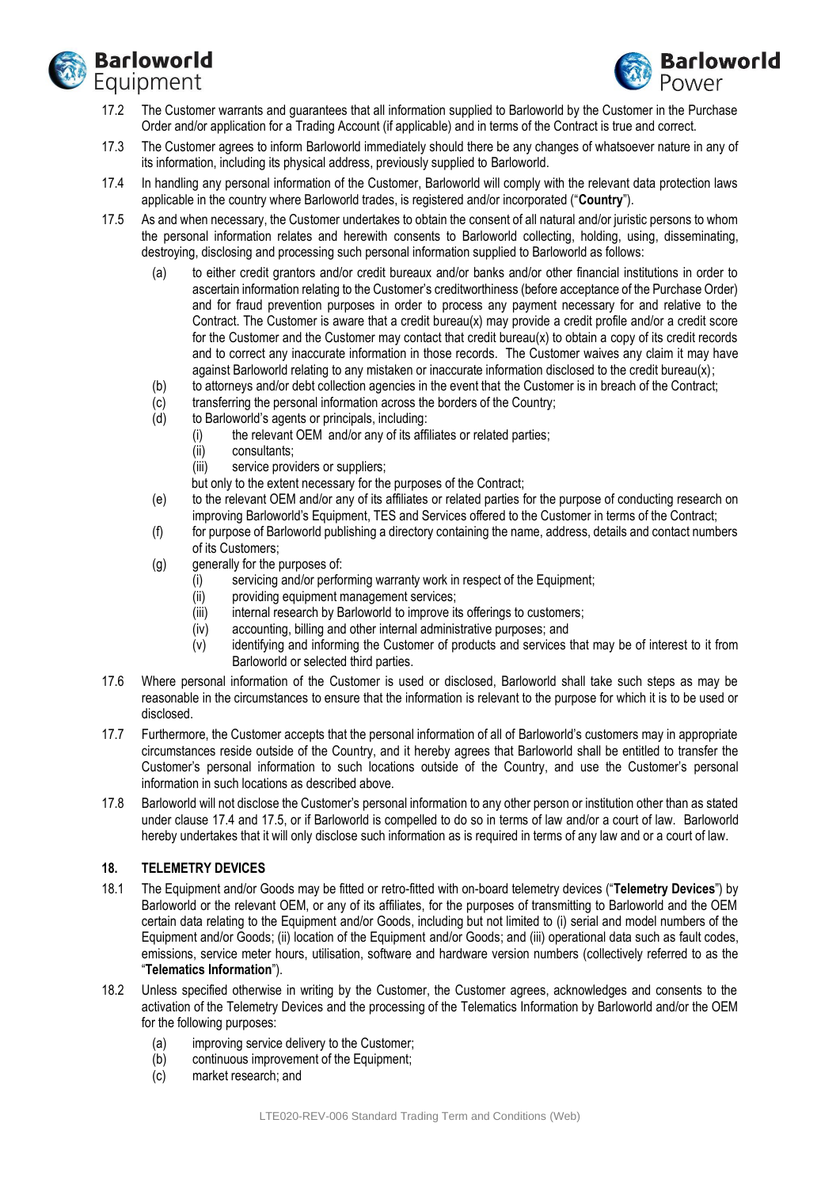



- 17.2 The Customer warrants and guarantees that all information supplied to Barloworld by the Customer in the Purchase Order and/or application for a Trading Account (if applicable) and in terms of the Contract is true and correct.
- 17.3 The Customer agrees to inform Barloworld immediately should there be any changes of whatsoever nature in any of its information, including its physical address, previously supplied to Barloworld.
- <span id="page-9-0"></span>17.4 In handling any personal information of the Customer, Barloworld will comply with the relevant data protection laws applicable in the country where Barloworld trades, is registered and/or incorporated ("**Country**").
- <span id="page-9-1"></span>17.5 As and when necessary, the Customer undertakes to obtain the consent of all natural and/or juristic persons to whom the personal information relates and herewith consents to Barloworld collecting, holding, using, disseminating, destroying, disclosing and processing such personal information supplied to Barloworld as follows:
	- (a) to either credit grantors and/or credit bureaux and/or banks and/or other financial institutions in order to ascertain information relating to the Customer's creditworthiness (before acceptance of the Purchase Order) and for fraud prevention purposes in order to process any payment necessary for and relative to the Contract. The Customer is aware that a credit bureau(x) may provide a credit profile and/or a credit score for the Customer and the Customer may contact that credit bureau(x) to obtain a copy of its credit records and to correct any inaccurate information in those records. The Customer waives any claim it may have against Barloworld relating to any mistaken or inaccurate information disclosed to the credit bureau(x);
	- (b) to attorneys and/or debt collection agencies in the event that the Customer is in breach of the Contract;
	- $\overline{c}$  transferring the personal information across the borders of the Country;<br>(d) to Barloworld's agents or principals, including:
	- to Barloworld's agents or principals, including:
		- (i) the relevant OEM and/or any of its affiliates or related parties;
			- (ii) consultants;
			- (iii) service providers or suppliers;

but only to the extent necessary for the purposes of the Contract;

- (e) to the relevant OEM and/or any of its affiliates or related parties for the purpose of conducting research on improving Barloworld's Equipment, TES and Services offered to the Customer in terms of the Contract;
- (f) for purpose of Barloworld publishing a directory containing the name, address, details and contact numbers of its Customers;
- (g) generally for the purposes of:
	- (i) servicing and/or performing warranty work in respect of the Equipment;
	- (ii) providing equipment management services;
	- (iii) internal research by Barloworld to improve its offerings to customers;
	- (iv) accounting, billing and other internal administrative purposes; and
	- (v) identifying and informing the Customer of products and services that may be of interest to it from Barloworld or selected third parties.
- 17.6 Where personal information of the Customer is used or disclosed, Barloworld shall take such steps as may be reasonable in the circumstances to ensure that the information is relevant to the purpose for which it is to be used or disclosed.
- 17.7 Furthermore, the Customer accepts that the personal information of all of Barloworld's customers may in appropriate circumstances reside outside of the Country, and it hereby agrees that Barloworld shall be entitled to transfer the Customer's personal information to such locations outside of the Country, and use the Customer's personal information in such locations as described above.
- 17.8 Barloworld will not disclose the Customer's personal information to any other person or institution other than as stated under clause [17.4](#page-9-0) and [17.5,](#page-9-1) or if Barloworld is compelled to do so in terms of law and/or a court of law. Barloworld hereby undertakes that it will only disclose such information as is required in terms of any law and or a court of law.

#### **18. TELEMETRY DEVICES**

- 18.1 The Equipment and/or Goods may be fitted or retro-fitted with on-board telemetry devices ("**Telemetry Devices**") by Barloworld or the relevant OEM, or any of its affiliates, for the purposes of transmitting to Barloworld and the OEM certain data relating to the Equipment and/or Goods, including but not limited to (i) serial and model numbers of the Equipment and/or Goods; (ii) location of the Equipment and/or Goods; and (iii) operational data such as fault codes, emissions, service meter hours, utilisation, software and hardware version numbers (collectively referred to as the "**Telematics Information**").
- 18.2 Unless specified otherwise in writing by the Customer, the Customer agrees, acknowledges and consents to the activation of the Telemetry Devices and the processing of the Telematics Information by Barloworld and/or the OEM for the following purposes:
	- (a) improving service delivery to the Customer;
	- (b) continuous improvement of the Equipment;
	- (c) market research; and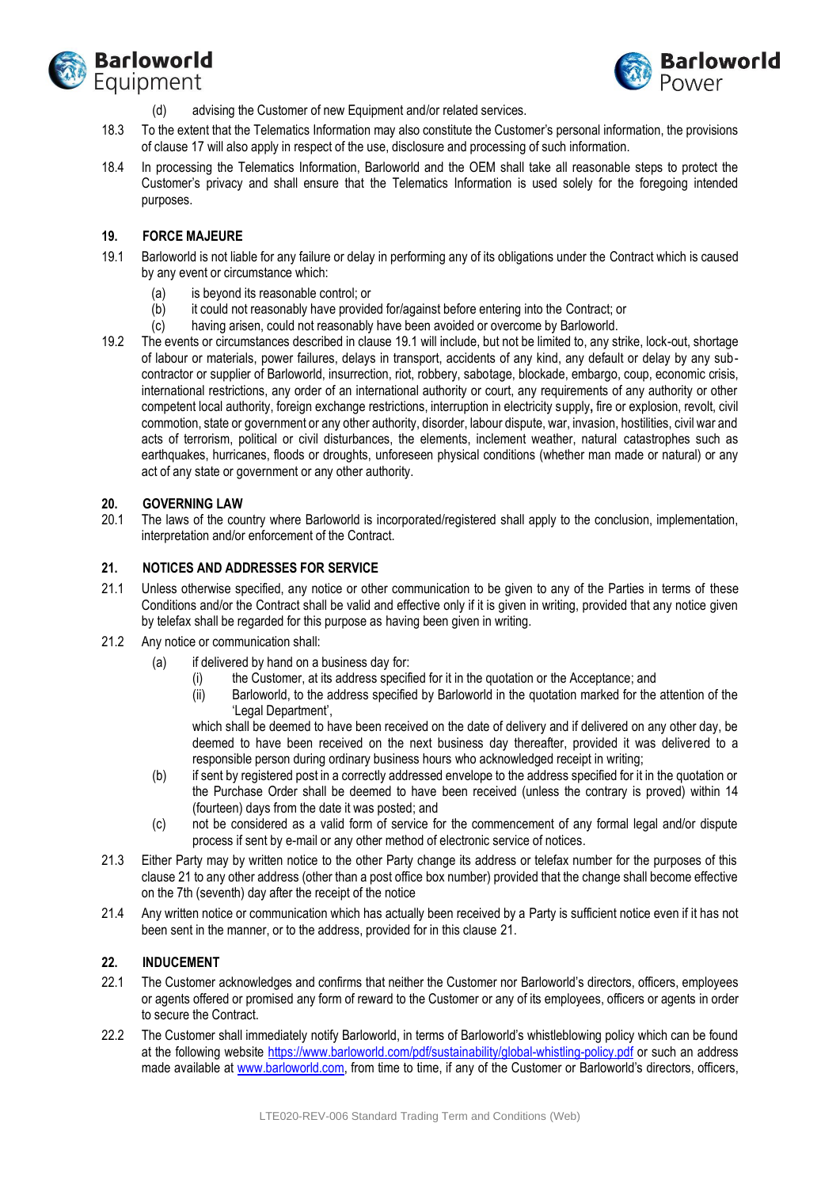



- (d) advising the Customer of new Equipment and/or related services.
- 18.3 To the extent that the Telematics Information may also constitute the Customer's personal information, the provisions of claus[e 17](#page-8-0) will also apply in respect of the use, disclosure and processing of such information.
- 18.4 In processing the Telematics Information, Barloworld and the OEM shall take all reasonable steps to protect the Customer's privacy and shall ensure that the Telematics Information is used solely for the foregoing intended purposes.

### **19. FORCE MAJEURE**

- <span id="page-10-0"></span>19.1 Barloworld is not liable for any failure or delay in performing any of its obligations under the Contract which is caused by any event or circumstance which:
	- (a) is beyond its reasonable control; or
	- (b) it could not reasonably have provided for/against before entering into the Contract; or
	- (c) having arisen, could not reasonably have been avoided or overcome by Barloworld.
- 19.2 The events or circumstances described in clause [19.1](#page-10-0) will include, but not be limited to, any strike, lock-out, shortage of labour or materials, power failures, delays in transport, accidents of any kind, any default or delay by any subcontractor or supplier of Barloworld, insurrection, riot, robbery, sabotage, blockade, embargo, coup, economic crisis, international restrictions, any order of an international authority or court, any requirements of any authority or other competent local authority, foreign exchange restrictions, interruption in electricity supply**,** fire or explosion, revolt, civil commotion, state or government or any other authority, disorder, labour dispute, war, invasion, hostilities, civil war and acts of terrorism, political or civil disturbances, the elements, inclement weather, natural catastrophes such as earthquakes, hurricanes, floods or droughts, unforeseen physical conditions (whether man made or natural) or any act of any state or government or any other authority.

#### **20. GOVERNING LAW**

20.1 The laws of the country where Barloworld is incorporated/registered shall apply to the conclusion, implementation, interpretation and/or enforcement of the Contract.

### <span id="page-10-1"></span>**21. NOTICES AND ADDRESSES FOR SERVICE**

- 21.1 Unless otherwise specified, any notice or other communication to be given to any of the Parties in terms of these Conditions and/or the Contract shall be valid and effective only if it is given in writing, provided that any notice given by telefax shall be regarded for this purpose as having been given in writing.
- 21.2 Any notice or communication shall:
	- (a) if delivered by hand on a business day for:
		- the Customer, at its address specified for it in the quotation or the Acceptance; and
		- (ii) Barloworld, to the address specified by Barloworld in the quotation marked for the attention of the 'Legal Department',

which shall be deemed to have been received on the date of delivery and if delivered on any other day, be deemed to have been received on the next business day thereafter, provided it was delivered to a responsible person during ordinary business hours who acknowledged receipt in writing;

- (b) if sent by registered post in a correctly addressed envelope to the address specified for it in the quotation or the Purchase Order shall be deemed to have been received (unless the contrary is proved) within 14 (fourteen) days from the date it was posted; and
- (c) not be considered as a valid form of service for the commencement of any formal legal and/or dispute process if sent by e-mail or any other method of electronic service of notices.
- 21.3 Either Party may by written notice to the other Party change its address or telefax number for the purposes of this claus[e 21](#page-10-1) to any other address (other than a post office box number) provided that the change shall become effective on the 7th (seventh) day after the receipt of the notice
- 21.4 Any written notice or communication which has actually been received by a Party is sufficient notice even if it has not been sent in the manner, or to the address, provided for in this clause [21.](#page-10-1)

#### **22. INDUCEMENT**

- 22.1 The Customer acknowledges and confirms that neither the Customer nor Barloworld's directors, officers, employees or agents offered or promised any form of reward to the Customer or any of its employees, officers or agents in order to secure the Contract.
- 22.2 The Customer shall immediately notify Barloworld, in terms of Barloworld's whistleblowing policy which can be found at the following website<https://www.barloworld.com/pdf/sustainability/global-whistling-policy.pdf> or such an address made available at [www.barloworld.com,](http://www.barloworld.com/) from time to time, if any of the Customer or Barloworld's directors, officers,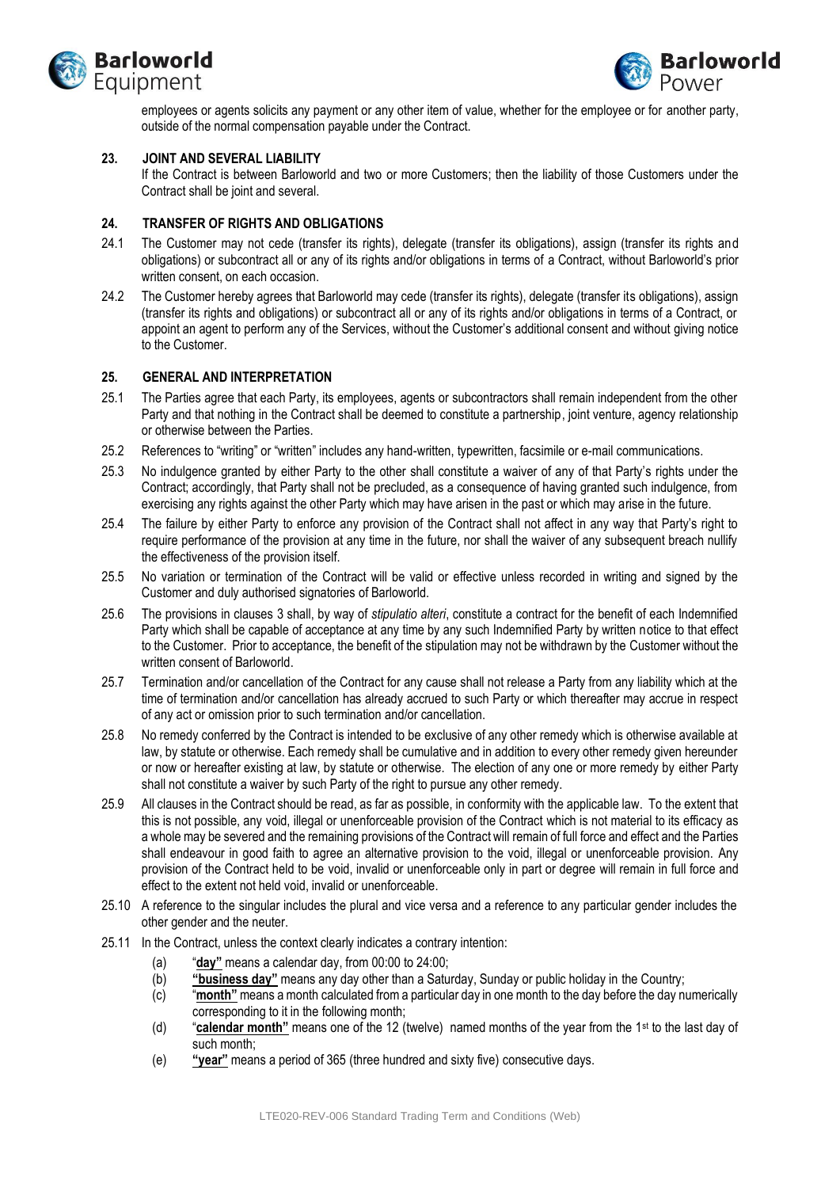



employees or agents solicits any payment or any other item of value, whether for the employee or for another party, outside of the normal compensation payable under the Contract.

#### **23. JOINT AND SEVERAL LIABILITY**

If the Contract is between Barloworld and two or more Customers; then the liability of those Customers under the Contract shall be joint and several.

## **24. TRANSFER OF RIGHTS AND OBLIGATIONS**

- 24.1 The Customer may not cede (transfer its rights), delegate (transfer its obligations), assign (transfer its rights and obligations) or subcontract all or any of its rights and/or obligations in terms of a Contract, without Barloworld's prior written consent, on each occasion.
- 24.2 The Customer hereby agrees that Barloworld may cede (transfer its rights), delegate (transfer its obligations), assign (transfer its rights and obligations) or subcontract all or any of its rights and/or obligations in terms of a Contract, or appoint an agent to perform any of the Services, without the Customer's additional consent and without giving notice to the Customer.

## **25. GENERAL AND INTERPRETATION**

- 25.1 The Parties agree that each Party, its employees, agents or subcontractors shall remain independent from the other Party and that nothing in the Contract shall be deemed to constitute a partnership, joint venture, agency relationship or otherwise between the Parties.
- 25.2 References to "writing" or "written" includes any hand-written, typewritten, facsimile or e-mail communications.
- 25.3 No indulgence granted by either Party to the other shall constitute a waiver of any of that Party's rights under the Contract; accordingly, that Party shall not be precluded, as a consequence of having granted such indulgence, from exercising any rights against the other Party which may have arisen in the past or which may arise in the future.
- 25.4 The failure by either Party to enforce any provision of the Contract shall not affect in any way that Party's right to require performance of the provision at any time in the future, nor shall the waiver of any subsequent breach nullify the effectiveness of the provision itself.
- 25.5 No variation or termination of the Contract will be valid or effective unless recorded in writing and signed by the Customer and duly authorised signatories of Barloworld.
- 25.6 The provisions in clauses [3](#page-1-0) shall, by way of *stipulatio alteri*, constitute a contract for the benefit of each Indemnified Party which shall be capable of acceptance at any time by any such Indemnified Party by written notice to that effect to the Customer. Prior to acceptance, the benefit of the stipulation may not be withdrawn by the Customer without the written consent of Barloworld.
- 25.7 Termination and/or cancellation of the Contract for any cause shall not release a Party from any liability which at the time of termination and/or cancellation has already accrued to such Party or which thereafter may accrue in respect of any act or omission prior to such termination and/or cancellation.
- 25.8 No remedy conferred by the Contract is intended to be exclusive of any other remedy which is otherwise available at law, by statute or otherwise. Each remedy shall be cumulative and in addition to every other remedy given hereunder or now or hereafter existing at law, by statute or otherwise. The election of any one or more remedy by either Party shall not constitute a waiver by such Party of the right to pursue any other remedy.
- 25.9 All clauses in the Contract should be read, as far as possible, in conformity with the applicable law. To the extent that this is not possible, any void, illegal or unenforceable provision of the Contract which is not material to its efficacy as a whole may be severed and the remaining provisions of the Contract will remain of full force and effect and the Parties shall endeavour in good faith to agree an alternative provision to the void, illegal or unenforceable provision. Any provision of the Contract held to be void, invalid or unenforceable only in part or degree will remain in full force and effect to the extent not held void, invalid or unenforceable.
- 25.10 A reference to the singular includes the plural and vice versa and a reference to any particular gender includes the other gender and the neuter.
- 25.11 In the Contract, unless the context clearly indicates a contrary intention:
	- (a) "**day"** means a calendar day, from 00:00 to 24:00;
	- (b) **"business day"** means any day other than a Saturday, Sunday or public holiday in the Country;
	- (c) "**month"** means a month calculated from a particular day in one month to the day before the day numerically corresponding to it in the following month;
	- (d) "**calendar month"** means one of the 12 (twelve) named months of the year from the 1st to the last day of such month;
	- (e) **"year"** means a period of 365 (three hundred and sixty five) consecutive days.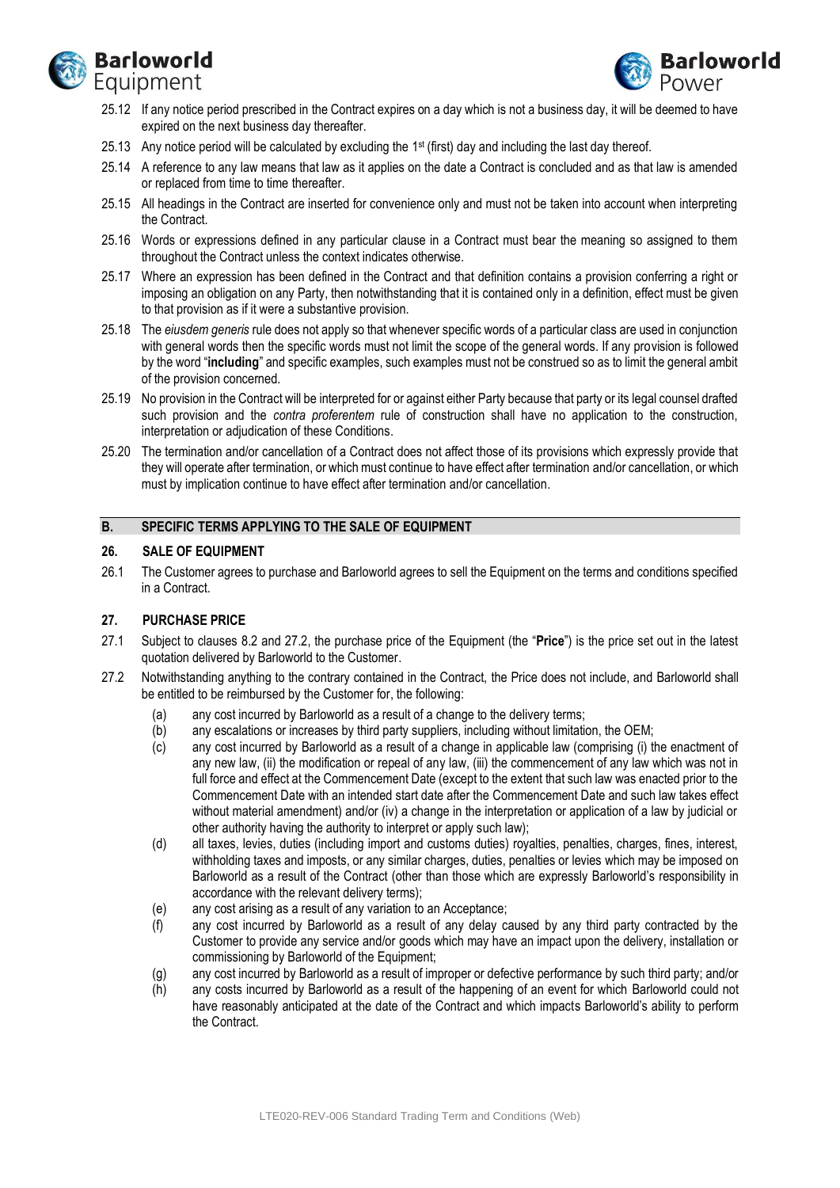



- 25.12 If any notice period prescribed in the Contract expires on a day which is not a business day, it will be deemed to have expired on the next business day thereafter.
- 25.13 Any notice period will be calculated by excluding the 1 st (first) day and including the last day thereof.
- 25.14 A reference to any law means that law as it applies on the date a Contract is concluded and as that law is amended or replaced from time to time thereafter.
- 25.15 All headings in the Contract are inserted for convenience only and must not be taken into account when interpreting the Contract.
- 25.16 Words or expressions defined in any particular clause in a Contract must bear the meaning so assigned to them throughout the Contract unless the context indicates otherwise.
- 25.17 Where an expression has been defined in the Contract and that definition contains a provision conferring a right or imposing an obligation on any Party, then notwithstanding that it is contained only in a definition, effect must be given to that provision as if it were a substantive provision.
- 25.18 The *eiusdem generis* rule does not apply so that whenever specific words of a particular class are used in conjunction with general words then the specific words must not limit the scope of the general words. If any provision is followed by the word "**including**" and specific examples, such examples must not be construed so as to limit the general ambit of the provision concerned.
- 25.19 No provision in the Contract will be interpreted for or against either Party because that party or its legal counsel drafted such provision and the *contra proferentem* rule of construction shall have no application to the construction, interpretation or adjudication of these Conditions.
- 25.20 The termination and/or cancellation of a Contract does not affect those of its provisions which expressly provide that they will operate after termination, or which must continue to have effect after termination and/or cancellation, or which must by implication continue to have effect after termination and/or cancellation.

## **B. SPECIFIC TERMS APPLYING TO THE SALE OF EQUIPMENT**

### **26. SALE OF EQUIPMENT**

26.1 The Customer agrees to purchase and Barloworld agrees to sell the Equipment on the terms and conditions specified in a Contract.

## **27. PURCHASE PRICE**

- 27.1 Subject to clauses 8.2 and 27.2, the purchase price of the Equipment (the "**Price**") is the price set out in the latest quotation delivered by Barloworld to the Customer.
- 27.2 Notwithstanding anything to the contrary contained in the Contract, the Price does not include, and Barloworld shall be entitled to be reimbursed by the Customer for, the following:
	- (a) any cost incurred by Barloworld as a result of a change to the delivery terms;
	- (b) any escalations or increases by third party suppliers, including without limitation, the OEM;
	- (c) any cost incurred by Barloworld as a result of a change in applicable law (comprising (i) the enactment of any new law, (ii) the modification or repeal of any law, (iii) the commencement of any law which was not in full force and effect at the Commencement Date (except to the extent that such law was enacted prior to the Commencement Date with an intended start date after the Commencement Date and such law takes effect without material amendment) and/or (iv) a change in the interpretation or application of a law by judicial or other authority having the authority to interpret or apply such law);
	- (d) all taxes, levies, duties (including import and customs duties) royalties, penalties, charges, fines, interest, withholding taxes and imposts, or any similar charges, duties, penalties or levies which may be imposed on Barloworld as a result of the Contract (other than those which are expressly Barloworld's responsibility in accordance with the relevant delivery terms);
	- (e) any cost arising as a result of any variation to an Acceptance;
	- (f) any cost incurred by Barloworld as a result of any delay caused by any third party contracted by the Customer to provide any service and/or goods which may have an impact upon the delivery, installation or commissioning by Barloworld of the Equipment;
	- (g) any cost incurred by Barloworld as a result of improper or defective performance by such third party; and/or
	- (h) any costs incurred by Barloworld as a result of the happening of an event for which Barloworld could not have reasonably anticipated at the date of the Contract and which impacts Barloworld's ability to perform the Contract.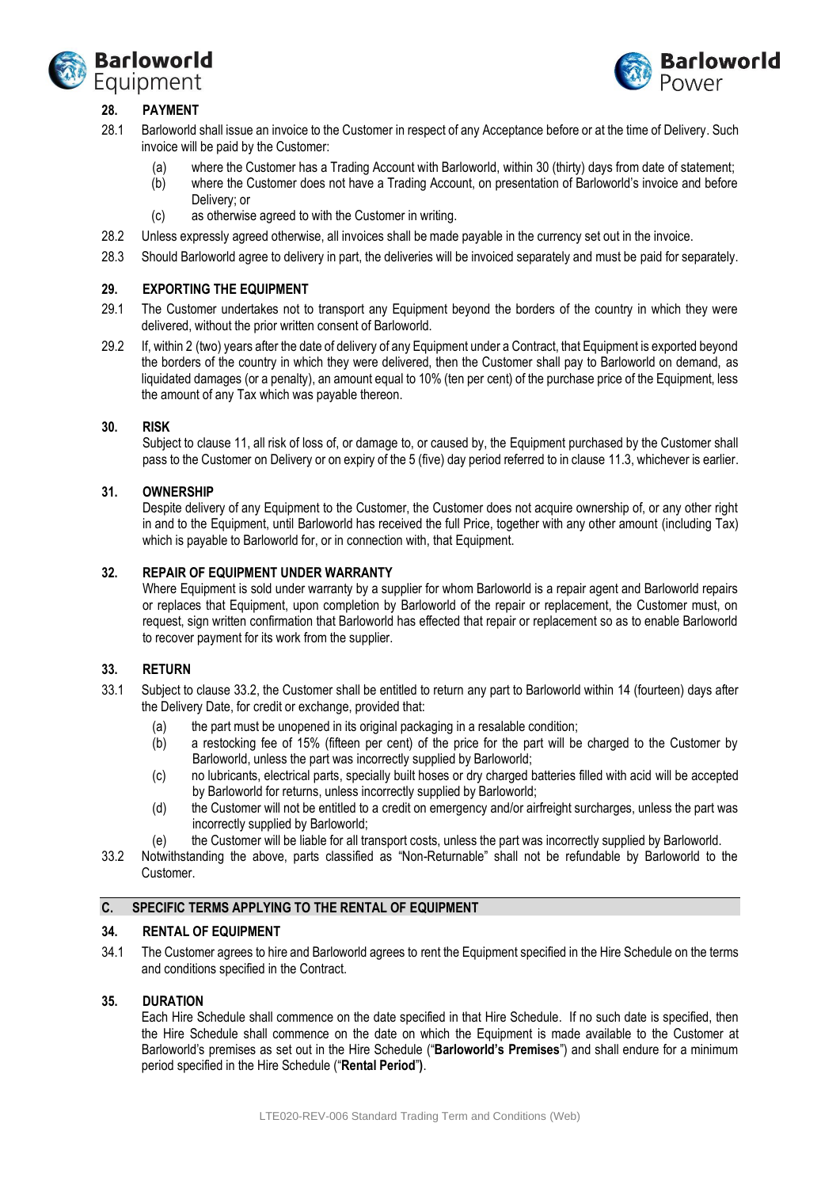



# **28. PAYMENT**

- 28.1 Barloworld shall issue an invoice to the Customer in respect of any Acceptance before or at the time of Delivery. Such invoice will be paid by the Customer:
	- (a) where the Customer has a Trading Account with Barloworld, within 30 (thirty) days from date of statement;
	- (b) where the Customer does not have a Trading Account, on presentation of Barloworld's invoice and before Delivery; or
	- (c) as otherwise agreed to with the Customer in writing.
- 28.2 Unless expressly agreed otherwise, all invoices shall be made payable in the currency set out in the invoice.
- 28.3 Should Barloworld agree to delivery in part, the deliveries will be invoiced separately and must be paid for separately.

### **29. EXPORTING THE EQUIPMENT**

- 29.1 The Customer undertakes not to transport any Equipment beyond the borders of the country in which they were delivered, without the prior written consent of Barloworld.
- 29.2 If, within 2 (two) years after the date of delivery of any Equipment under a Contract, that Equipment is exported beyond the borders of the country in which they were delivered, then the Customer shall pay to Barloworld on demand, as liquidated damages (or a penalty), an amount equal to 10% (ten per cent) of the purchase price of the Equipment, less the amount of any Tax which was payable thereon.

#### **30. RISK**

Subject to clause 11, all risk of loss of, or damage to, or caused by, the Equipment purchased by the Customer shall pass to the Customer on Delivery or on expiry of the 5 (five) day period referred to in clause 11.3, whichever is earlier.

#### **31. OWNERSHIP**

Despite delivery of any Equipment to the Customer, the Customer does not acquire ownership of, or any other right in and to the Equipment, until Barloworld has received the full Price, together with any other amount (including Tax) which is payable to Barloworld for, or in connection with, that Equipment.

### **32. REPAIR OF EQUIPMENT UNDER WARRANTY**

Where Equipment is sold under warranty by a supplier for whom Barloworld is a repair agent and Barloworld repairs or replaces that Equipment, upon completion by Barloworld of the repair or replacement, the Customer must, on request, sign written confirmation that Barloworld has effected that repair or replacement so as to enable Barloworld to recover payment for its work from the supplier.

## **33. RETURN**

- 33.1 Subject to claus[e 33.2,](#page-13-0) the Customer shall be entitled to return any part to Barloworld within 14 (fourteen) days after the Delivery Date, for credit or exchange, provided that:
	- (a) the part must be unopened in its original packaging in a resalable condition;
	- (b) a restocking fee of 15% (fifteen per cent) of the price for the part will be charged to the Customer by Barloworld, unless the part was incorrectly supplied by Barloworld;
	- (c) no lubricants, electrical parts, specially built hoses or dry charged batteries filled with acid will be accepted by Barloworld for returns, unless incorrectly supplied by Barloworld;
	- (d) the Customer will not be entitled to a credit on emergency and/or airfreight surcharges, unless the part was incorrectly supplied by Barloworld;
	- (e) the Customer will be liable for all transport costs, unless the part was incorrectly supplied by Barloworld.
- <span id="page-13-0"></span>33.2 Notwithstanding the above, parts classified as "Non-Returnable" shall not be refundable by Barloworld to the Customer.

### **C. SPECIFIC TERMS APPLYING TO THE RENTAL OF EQUIPMENT**

#### **34. RENTAL OF EQUIPMENT**

34.1 The Customer agrees to hire and Barloworld agrees to rent the Equipment specified in the Hire Schedule on the terms and conditions specified in the Contract.

#### **35. DURATION**

Each Hire Schedule shall commence on the date specified in that Hire Schedule. If no such date is specified, then the Hire Schedule shall commence on the date on which the Equipment is made available to the Customer at Barloworld's premises as set out in the Hire Schedule ("**Barloworld's Premises**") and shall endure for a minimum period specified in the Hire Schedule ("**Rental Period**"**)**.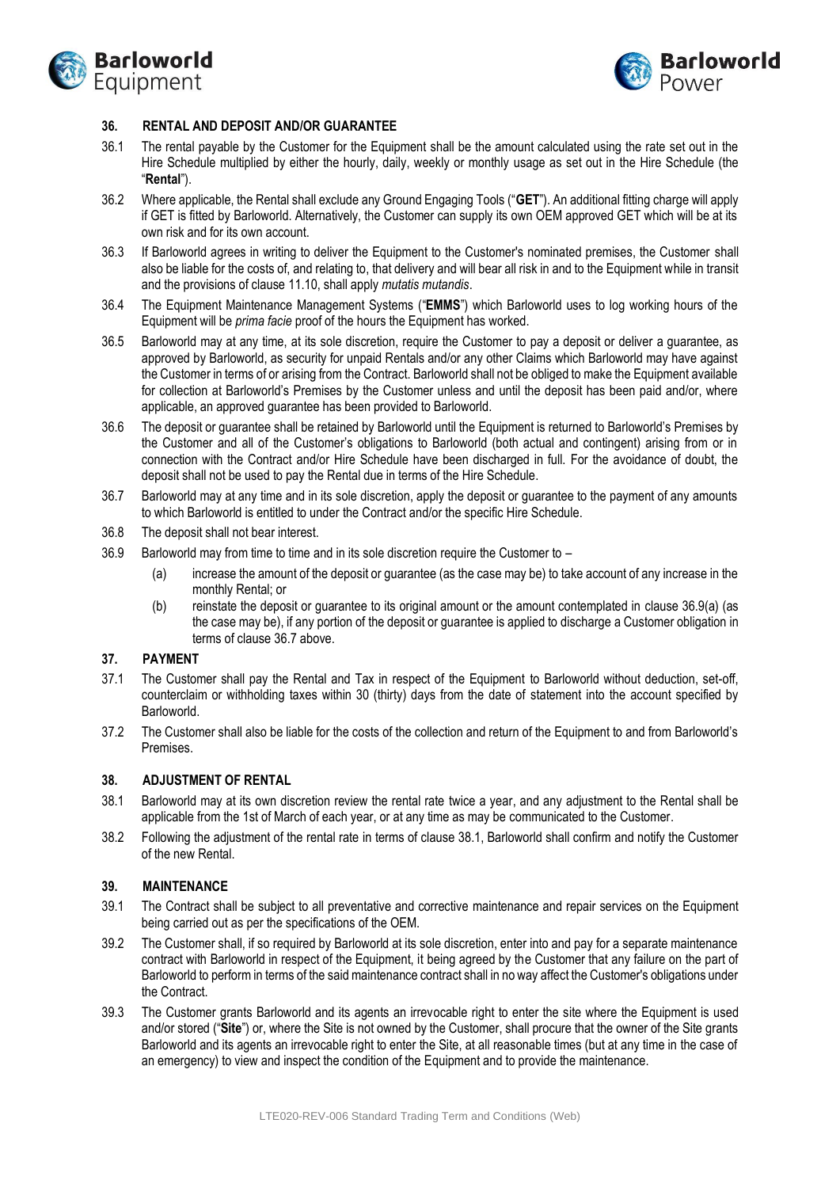



### **36. RENTAL AND DEPOSIT AND/OR GUARANTEE**

- 36.1 The rental payable by the Customer for the Equipment shall be the amount calculated using the rate set out in the Hire Schedule multiplied by either the hourly, daily, weekly or monthly usage as set out in the Hire Schedule (the "**Rental**").
- 36.2 Where applicable, the Rental shall exclude any Ground Engaging Tools ("**GET**"). An additional fitting charge will apply if GET is fitted by Barloworld. Alternatively, the Customer can supply its own OEM approved GET which will be at its own risk and for its own account.
- 36.3 If Barloworld agrees in writing to deliver the Equipment to the Customer's nominated premises, the Customer shall also be liable for the costs of, and relating to, that delivery and will bear all risk in and to the Equipment while in transit and the provisions of clause 11.10, shall apply *mutatis mutandis*.
- 36.4 The Equipment Maintenance Management Systems ("**EMMS**") which Barloworld uses to log working hours of the Equipment will be *prima facie* proof of the hours the Equipment has worked.
- 36.5 Barloworld may at any time, at its sole discretion, require the Customer to pay a deposit or deliver a guarantee, as approved by Barloworld, as security for unpaid Rentals and/or any other Claims which Barloworld may have against the Customer in terms of or arising from the Contract. Barloworld shall not be obliged to make the Equipment available for collection at Barloworld's Premises by the Customer unless and until the deposit has been paid and/or, where applicable, an approved guarantee has been provided to Barloworld.
- 36.6 The deposit or guarantee shall be retained by Barloworld until the Equipment is returned to Barloworld's Premises by the Customer and all of the Customer's obligations to Barloworld (both actual and contingent) arising from or in connection with the Contract and/or Hire Schedule have been discharged in full. For the avoidance of doubt, the deposit shall not be used to pay the Rental due in terms of the Hire Schedule.
- <span id="page-14-1"></span>36.7 Barloworld may at any time and in its sole discretion, apply the deposit or guarantee to the payment of any amounts to which Barloworld is entitled to under the Contract and/or the specific Hire Schedule.
- 36.8 The deposit shall not bear interest.
- <span id="page-14-0"></span>36.9 Barloworld may from time to time and in its sole discretion require the Customer to –
	- (a) increase the amount of the deposit or guarantee (as the case may be) to take account of any increase in the monthly Rental; or
	- (b) reinstate the deposit or guarantee to its original amount or the amount contemplated in clause 36.[9\(a\)](#page-14-0) (as the case may be), if any portion of the deposit or guarantee is applied to discharge a Customer obligation in terms of claus[e 36.7](#page-14-1) above.

#### **37. PAYMENT**

- 37.1 The Customer shall pay the Rental and Tax in respect of the Equipment to Barloworld without deduction, set-off, counterclaim or withholding taxes within 30 (thirty) days from the date of statement into the account specified by Barloworld.
- 37.2 The Customer shall also be liable for the costs of the collection and return of the Equipment to and from Barloworld's Premises.

## **38. ADJUSTMENT OF RENTAL**

- <span id="page-14-2"></span>38.1 Barloworld may at its own discretion review the rental rate twice a year, and any adjustment to the Rental shall be applicable from the 1st of March of each year, or at any time as may be communicated to the Customer.
- 38.2 Following the adjustment of the rental rate in terms of claus[e 38.1,](#page-14-2) Barloworld shall confirm and notify the Customer of the new Rental.

## **39. MAINTENANCE**

- <span id="page-14-3"></span>39.1 The Contract shall be subject to all preventative and corrective maintenance and repair services on the Equipment being carried out as per the specifications of the OEM.
- 39.2 The Customer shall, if so required by Barloworld at its sole discretion, enter into and pay for a separate maintenance contract with Barloworld in respect of the Equipment, it being agreed by the Customer that any failure on the part of Barloworld to perform in terms of the said maintenance contract shall in no way affect the Customer's obligations under the Contract.
- 39.3 The Customer grants Barloworld and its agents an irrevocable right to enter the site where the Equipment is used and/or stored ("**Site**") or, where the Site is not owned by the Customer, shall procure that the owner of the Site grants Barloworld and its agents an irrevocable right to enter the Site, at all reasonable times (but at any time in the case of an emergency) to view and inspect the condition of the Equipment and to provide the maintenance.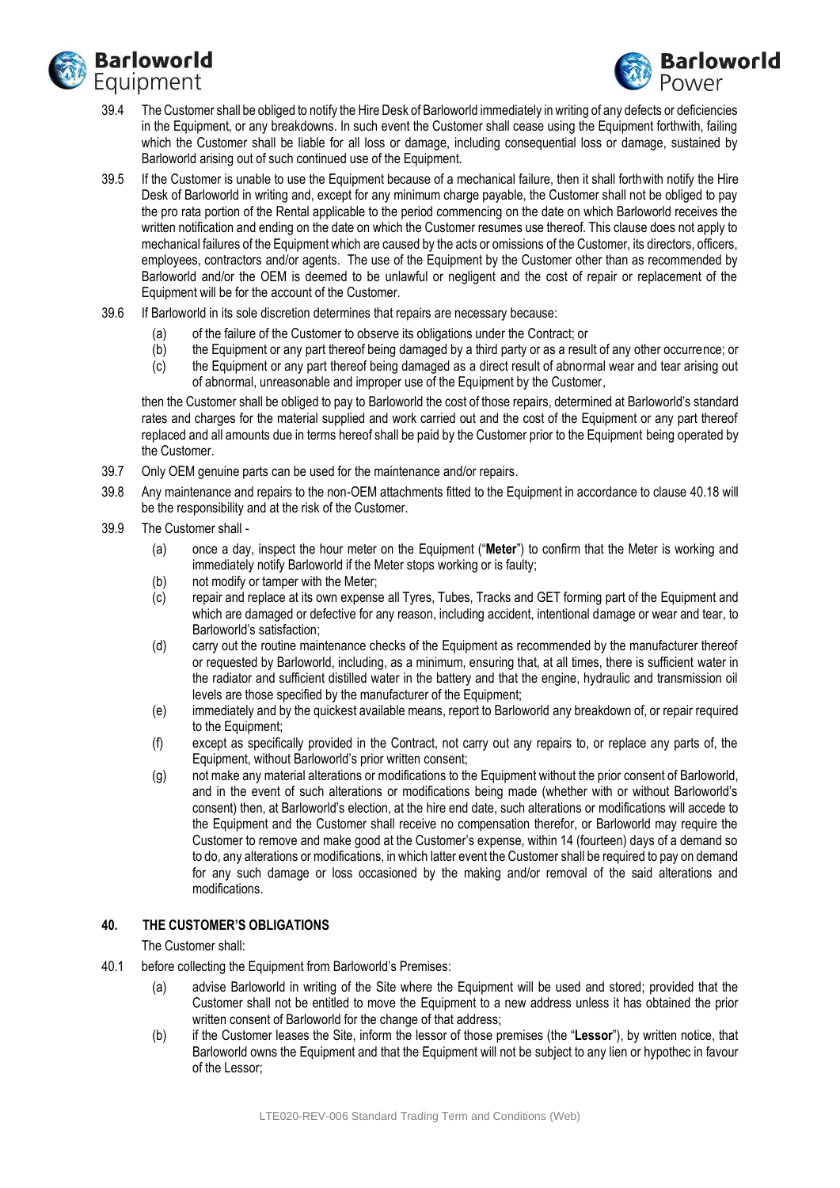



- 39.4 The Customer shall be obliged to notify the Hire Desk of Barloworld immediately in writing of any defects or deficiencies in the Equipment, or any breakdowns. In such event the Customer shall cease using the Equipment forthwith, failing which the Customer shall be liable for all loss or damage, including consequential loss or damage, sustained by Barloworld arising out of such continued use of the Equipment.
- 39.5 If the Customer is unable to use the Equipment because of a mechanical failure, then it shall forthwith notify the Hire Desk of Barloworld in writing and, except for any minimum charge payable, the Customer shall not be obliged to pay the pro rata portion of the Rental applicable to the period commencing on the date on which Barloworld receives the written notification and ending on the date on which the Customer resumes use thereof. This clause does not apply to mechanical failures of the Equipment which are caused by the acts or omissions of the Customer, its directors, officers, employees, contractors and/or agents. The use of the Equipment by the Customer other than as recommended by Barloworld and/or the OEM is deemed to be unlawful or negligent and the cost of repair or replacement of the Equipment will be for the account of the Customer.
- 39.6 If Barloworld in its sole discretion determines that repairs are necessary because:
	- (a) of the failure of the Customer to observe its obligations under the Contract; or
	- (b) the Equipment or any part thereof being damaged by a third party or as a result of any other occurrence; or
	- (c) the Equipment or any part thereof being damaged as a direct result of abnormal wear and tear arising out of abnormal, unreasonable and improper use of the Equipment by the Customer,

then the Customer shall be obliged to pay to Barloworld the cost of those repairs, determined at Barloworld's standard rates and charges for the material supplied and work carried out and the cost of the Equipment or any part thereof replaced and all amounts due in terms hereof shall be paid by the Customer prior to the Equipment being operated by the Customer.

- 39.7 Only OEM genuine parts can be used for the maintenance and/or repairs.
- 39.8 Any maintenance and repairs to the non-OEM attachments fitted to the Equipment in accordance to clause [40.18](#page-16-0) will be the responsibility and at the risk of the Customer.
- 39.9 The Customer shall
	- (a) once a day, inspect the hour meter on the Equipment ("**Meter**") to confirm that the Meter is working and immediately notify Barloworld if the Meter stops working or is faulty;
	- (b) not modify or tamper with the Meter;
	- (c) repair and replace at its own expense all Tyres, Tubes, Tracks and GET forming part of the Equipment and which are damaged or defective for any reason, including accident, intentional damage or wear and tear, to Barloworld's satisfaction;
	- (d) carry out the routine maintenance checks of the Equipment as recommended by the manufacturer thereof or requested by Barloworld, including, as a minimum, ensuring that, at all times, there is sufficient water in the radiator and sufficient distilled water in the battery and that the engine, hydraulic and transmission oil levels are those specified by the manufacturer of the Equipment;
	- (e) immediately and by the quickest available means, report to Barloworld any breakdown of, or repair required to the Equipment;
	- (f) except as specifically provided in the Contract, not carry out any repairs to, or replace any parts of, the Equipment, without Barloworld's prior written consent;
	- (g) not make any material alterations or modifications to the Equipment without the prior consent of Barloworld, and in the event of such alterations or modifications being made (whether with or without Barloworld's consent) then, at Barloworld's election, at the hire end date, such alterations or modifications will accede to the Equipment and the Customer shall receive no compensation therefor, or Barloworld may require the Customer to remove and make good at the Customer's expense, within 14 (fourteen) days of a demand so to do, any alterations or modifications, in which latter event the Customer shall be required to pay on demand for any such damage or loss occasioned by the making and/or removal of the said alterations and modifications.

## **40. THE CUSTOMER'S OBLIGATIONS**

#### The Customer shall:

- <span id="page-15-2"></span><span id="page-15-1"></span><span id="page-15-0"></span>40.1 before collecting the Equipment from Barloworld's Premises:
	- (a) advise Barloworld in writing of the Site where the Equipment will be used and stored; provided that the Customer shall not be entitled to move the Equipment to a new address unless it has obtained the prior written consent of Barloworld for the change of that address;
	- (b) if the Customer leases the Site, inform the lessor of those premises (the "**Lessor**"), by written notice, that Barloworld owns the Equipment and that the Equipment will not be subject to any lien or hypothec in favour of the Lessor;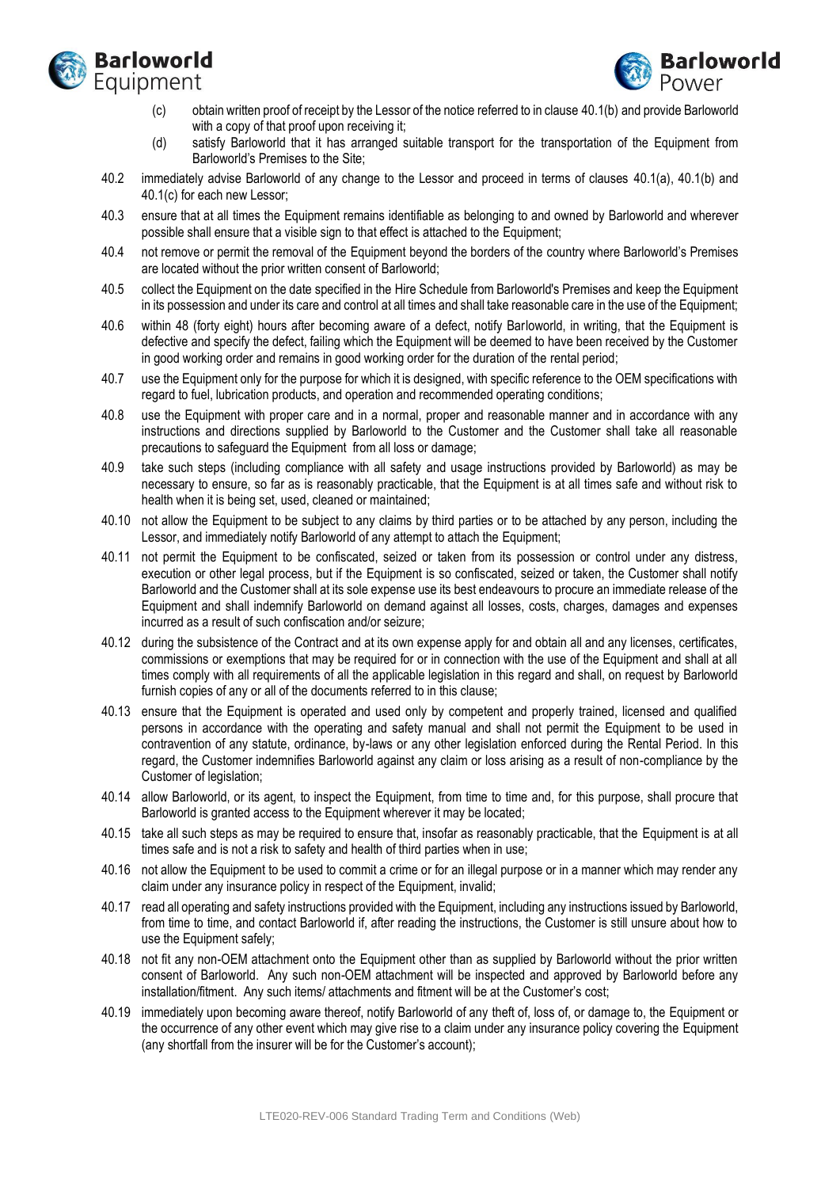



- <span id="page-16-1"></span>(c) obtain written proof of receipt by the Lessor of the notice referred to in clause [40.1](#page-15-0)[\(b\)](#page-15-1) and provide Barloworld with a copy of that proof upon receiving it;
- (d) satisfy Barloworld that it has arranged suitable transport for the transportation of the Equipment from Barloworld's Premises to the Site;
- 40.2 immediately advise Barloworld of any change to the Lessor and proceed in terms of clauses [40.1\(a\),](#page-15-2) [40.1\(b\)](#page-15-1) and [40.1\(c\)](#page-16-1) for each new Lessor;
- 40.3 ensure that at all times the Equipment remains identifiable as belonging to and owned by Barloworld and wherever possible shall ensure that a visible sign to that effect is attached to the Equipment;
- <span id="page-16-2"></span>40.4 not remove or permit the removal of the Equipment beyond the borders of the country where Barloworld's Premises are located without the prior written consent of Barloworld;
- 40.5 collect the Equipment on the date specified in the Hire Schedule from Barloworld's Premises and keep the Equipment in its possession and under its care and control at all times and shall take reasonable care in the use of the Equipment;
- 40.6 within 48 (forty eight) hours after becoming aware of a defect, notify Barloworld, in writing, that the Equipment is defective and specify the defect, failing which the Equipment will be deemed to have been received by the Customer in good working order and remains in good working order for the duration of the rental period;
- 40.7 use the Equipment only for the purpose for which it is designed, with specific reference to the OEM specifications with regard to fuel, lubrication products, and operation and recommended operating conditions;
- 40.8 use the Equipment with proper care and in a normal, proper and reasonable manner and in accordance with any instructions and directions supplied by Barloworld to the Customer and the Customer shall take all reasonable precautions to safeguard the Equipment from all loss or damage;
- 40.9 take such steps (including compliance with all safety and usage instructions provided by Barloworld) as may be necessary to ensure, so far as is reasonably practicable, that the Equipment is at all times safe and without risk to health when it is being set, used, cleaned or maintained;
- 40.10 not allow the Equipment to be subject to any claims by third parties or to be attached by any person, including the Lessor, and immediately notify Barloworld of any attempt to attach the Equipment;
- 40.11 not permit the Equipment to be confiscated, seized or taken from its possession or control under any distress, execution or other legal process, but if the Equipment is so confiscated, seized or taken, the Customer shall notify Barloworld and the Customer shall at its sole expense use its best endeavours to procure an immediate release of the Equipment and shall indemnify Barloworld on demand against all losses, costs, charges, damages and expenses incurred as a result of such confiscation and/or seizure;
- 40.12 during the subsistence of the Contract and at its own expense apply for and obtain all and any licenses, certificates, commissions or exemptions that may be required for or in connection with the use of the Equipment and shall at all times comply with all requirements of all the applicable legislation in this regard and shall, on request by Barloworld furnish copies of any or all of the documents referred to in this clause;
- 40.13 ensure that the Equipment is operated and used only by competent and properly trained, licensed and qualified persons in accordance with the operating and safety manual and shall not permit the Equipment to be used in contravention of any statute, ordinance, by-laws or any other legislation enforced during the Rental Period. In this regard, the Customer indemnifies Barloworld against any claim or loss arising as a result of non-compliance by the Customer of legislation;
- 40.14 allow Barloworld, or its agent, to inspect the Equipment, from time to time and, for this purpose, shall procure that Barloworld is granted access to the Equipment wherever it may be located;
- 40.15 take all such steps as may be required to ensure that, insofar as reasonably practicable, that the Equipment is at all times safe and is not a risk to safety and health of third parties when in use;
- 40.16 not allow the Equipment to be used to commit a crime or for an illegal purpose or in a manner which may render any claim under any insurance policy in respect of the Equipment, invalid;
- 40.17 read all operating and safety instructions provided with the Equipment, including any instructions issued by Barloworld, from time to time, and contact Barloworld if, after reading the instructions, the Customer is still unsure about how to use the Equipment safely;
- <span id="page-16-0"></span>40.18 not fit any non-OEM attachment onto the Equipment other than as supplied by Barloworld without the prior written consent of Barloworld. Any such non-OEM attachment will be inspected and approved by Barloworld before any installation/fitment. Any such items/ attachments and fitment will be at the Customer's cost;
- 40.19 immediately upon becoming aware thereof, notify Barloworld of any theft of, loss of, or damage to, the Equipment or the occurrence of any other event which may give rise to a claim under any insurance policy covering the Equipment (any shortfall from the insurer will be for the Customer's account);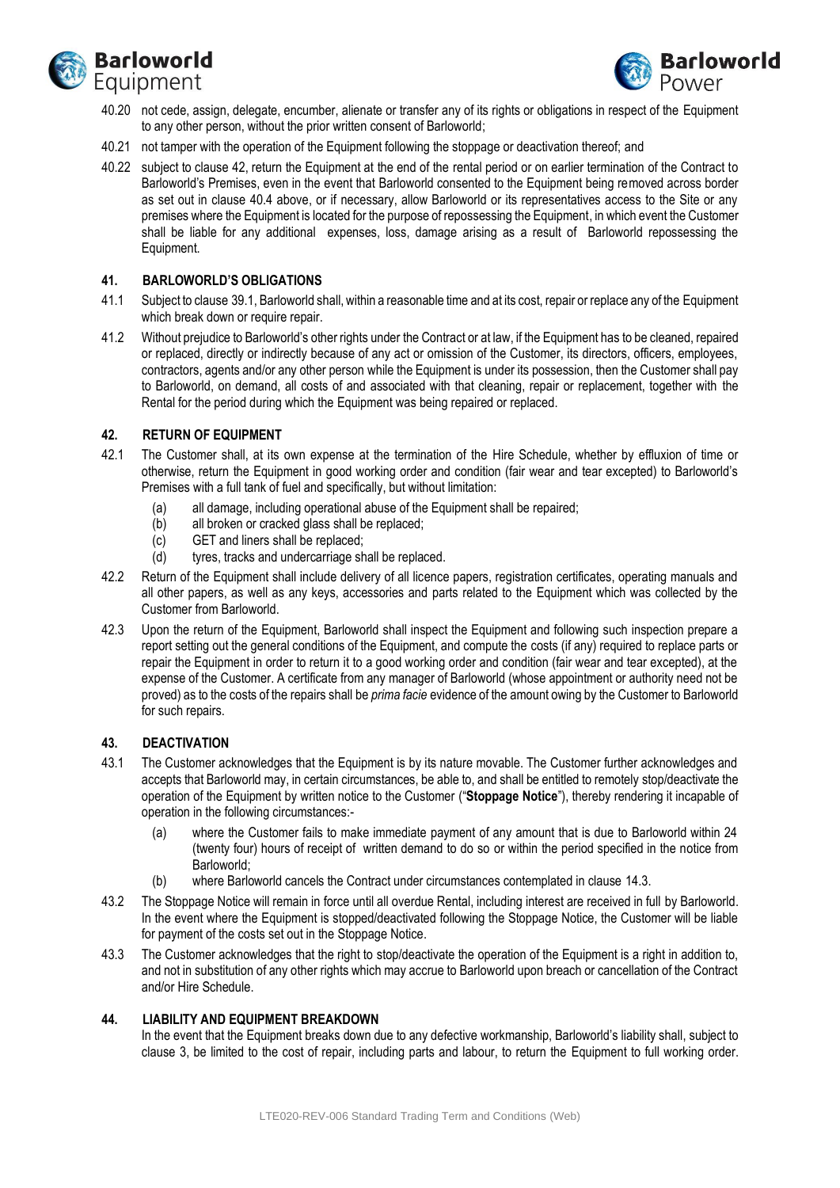



- 40.20 not cede, assign, delegate, encumber, alienate or transfer any of its rights or obligations in respect of the Equipment to any other person, without the prior written consent of Barloworld;
- 40.21 not tamper with the operation of the Equipment following the stoppage or deactivation thereof; and
- 40.22 subject to claus[e 42,](#page-17-0) return the Equipment at the end of the rental period or on earlier termination of the Contract to Barloworld's Premises, even in the event that Barloworld consented to the Equipment being removed across border as set out in clause [40.4](#page-16-2) above, or if necessary, allow Barloworld or its representatives access to the Site or any premises where the Equipment is located for the purpose of repossessing the Equipment, in which event the Customer shall be liable for any additional expenses, loss, damage arising as a result of Barloworld repossessing the Equipment.

### **41. BARLOWORLD'S OBLIGATIONS**

- 41.1 Subject to clause [39.1,](#page-14-3) Barloworld shall, within a reasonable time and at its cost, repair or replace any of the Equipment which break down or require repair.
- 41.2 Without prejudice to Barloworld's other rights under the Contract or at law, if the Equipment has to be cleaned, repaired or replaced, directly or indirectly because of any act or omission of the Customer, its directors, officers, employees, contractors, agents and/or any other person while the Equipment is under its possession, then the Customer shall pay to Barloworld, on demand, all costs of and associated with that cleaning, repair or replacement, together with the Rental for the period during which the Equipment was being repaired or replaced.

### <span id="page-17-0"></span>**42. RETURN OF EQUIPMENT**

- 42.1 The Customer shall, at its own expense at the termination of the Hire Schedule, whether by effluxion of time or otherwise, return the Equipment in good working order and condition (fair wear and tear excepted) to Barloworld's Premises with a full tank of fuel and specifically, but without limitation:
	- (a) all damage, including operational abuse of the Equipment shall be repaired;
	- (b) all broken or cracked glass shall be replaced;
	- (c) GET and liners shall be replaced;
	- (d) tyres, tracks and undercarriage shall be replaced.
- 42.2 Return of the Equipment shall include delivery of all licence papers, registration certificates, operating manuals and all other papers, as well as any keys, accessories and parts related to the Equipment which was collected by the Customer from Barloworld.
- 42.3 Upon the return of the Equipment, Barloworld shall inspect the Equipment and following such inspection prepare a report setting out the general conditions of the Equipment, and compute the costs (if any) required to replace parts or repair the Equipment in order to return it to a good working order and condition (fair wear and tear excepted), at the expense of the Customer. A certificate from any manager of Barloworld (whose appointment or authority need not be proved) as to the costs of the repairs shall be *prima facie* evidence of the amount owing by the Customer to Barloworld for such repairs.

#### **43. DEACTIVATION**

- 43.1 The Customer acknowledges that the Equipment is by its nature movable. The Customer further acknowledges and accepts that Barloworld may, in certain circumstances, be able to, and shall be entitled to remotely stop/deactivate the operation of the Equipment by written notice to the Customer ("**Stoppage Notice**"), thereby rendering it incapable of operation in the following circumstances:-
	- (a) where the Customer fails to make immediate payment of any amount that is due to Barloworld within 24 (twenty four) hours of receipt of written demand to do so or within the period specified in the notice from Barloworld;
	- (b) where Barloworld cancels the Contract under circumstances contemplated in clause 14.3.
- 43.2 The Stoppage Notice will remain in force until all overdue Rental, including interest are received in full by Barloworld. In the event where the Equipment is stopped/deactivated following the Stoppage Notice, the Customer will be liable for payment of the costs set out in the Stoppage Notice.
- 43.3 The Customer acknowledges that the right to stop/deactivate the operation of the Equipment is a right in addition to, and not in substitution of any other rights which may accrue to Barloworld upon breach or cancellation of the Contract and/or Hire Schedule.

## **44. LIABILITY AND EQUIPMENT BREAKDOWN**

In the event that the Equipment breaks down due to any defective workmanship, Barloworld's liability shall, subject to clause 3, be limited to the cost of repair, including parts and labour, to return the Equipment to full working order.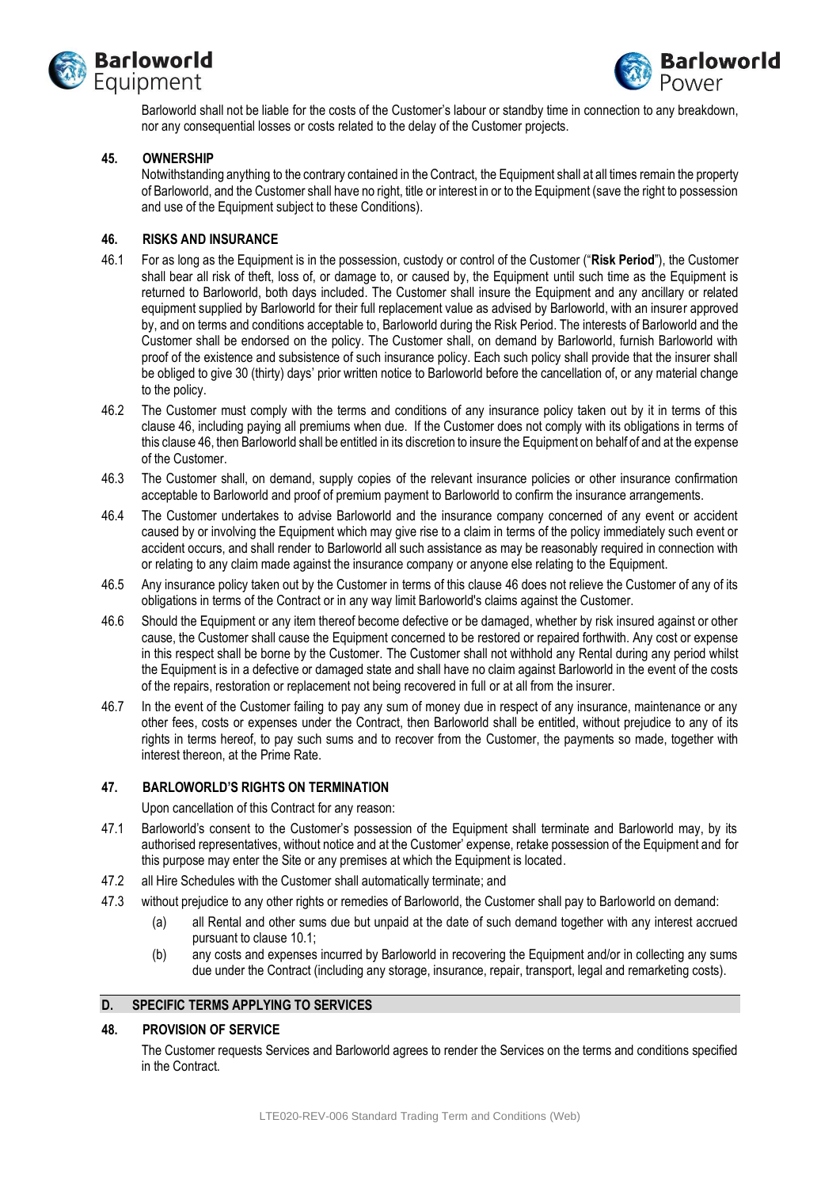



Barloworld shall not be liable for the costs of the Customer's labour or standby time in connection to any breakdown, nor any consequential losses or costs related to the delay of the Customer projects.

### **45. OWNERSHIP**

Notwithstanding anything to the contrary contained in the Contract, the Equipment shall at all times remain the property of Barloworld, and the Customer shall have no right, title or interest in or to the Equipment (save the right to possession and use of the Equipment subject to these Conditions).

### <span id="page-18-0"></span>**46. RISKS AND INSURANCE**

- 46.1 For as long as the Equipment is in the possession, custody or control of the Customer ("**Risk Period**"), the Customer shall bear all risk of theft, loss of, or damage to, or caused by, the Equipment until such time as the Equipment is returned to Barloworld, both days included. The Customer shall insure the Equipment and any ancillary or related equipment supplied by Barloworld for their full replacement value as advised by Barloworld, with an insurer approved by, and on terms and conditions acceptable to, Barloworld during the Risk Period. The interests of Barloworld and the Customer shall be endorsed on the policy. The Customer shall, on demand by Barloworld, furnish Barloworld with proof of the existence and subsistence of such insurance policy. Each such policy shall provide that the insurer shall be obliged to give 30 (thirty) days' prior written notice to Barloworld before the cancellation of, or any material change to the policy.
- 46.2 The Customer must comply with the terms and conditions of any insurance policy taken out by it in terms of this clause [46,](#page-18-0) including paying all premiums when due. If the Customer does not comply with its obligations in terms of this claus[e 46,](#page-18-0) then Barloworld shall be entitled in its discretion to insure the Equipment on behalf of and at the expense of the Customer.
- 46.3 The Customer shall, on demand, supply copies of the relevant insurance policies or other insurance confirmation acceptable to Barloworld and proof of premium payment to Barloworld to confirm the insurance arrangements.
- 46.4 The Customer undertakes to advise Barloworld and the insurance company concerned of any event or accident caused by or involving the Equipment which may give rise to a claim in terms of the policy immediately such event or accident occurs, and shall render to Barloworld all such assistance as may be reasonably required in connection with or relating to any claim made against the insurance company or anyone else relating to the Equipment.
- 46.5 Any insurance policy taken out by the Customer in terms of this clause [46](#page-18-0) does not relieve the Customer of any of its obligations in terms of the Contract or in any way limit Barloworld's claims against the Customer.
- 46.6 Should the Equipment or any item thereof become defective or be damaged, whether by risk insured against or other cause, the Customer shall cause the Equipment concerned to be restored or repaired forthwith. Any cost or expense in this respect shall be borne by the Customer. The Customer shall not withhold any Rental during any period whilst the Equipment is in a defective or damaged state and shall have no claim against Barloworld in the event of the costs of the repairs, restoration or replacement not being recovered in full or at all from the insurer.
- 46.7 In the event of the Customer failing to pay any sum of money due in respect of any insurance, maintenance or any other fees, costs or expenses under the Contract, then Barloworld shall be entitled, without prejudice to any of its rights in terms hereof, to pay such sums and to recover from the Customer, the payments so made, together with interest thereon, at the Prime Rate.

#### **47. BARLOWORLD'S RIGHTS ON TERMINATION**

Upon cancellation of this Contract for any reason:

- 47.1 Barloworld's consent to the Customer's possession of the Equipment shall terminate and Barloworld may, by its authorised representatives, without notice and at the Customer' expense, retake possession of the Equipment and for this purpose may enter the Site or any premises at which the Equipment is located.
- 47.2 all Hire Schedules with the Customer shall automatically terminate; and
- 47.3 without prejudice to any other rights or remedies of Barloworld, the Customer shall pay to Barloworld on demand:
	- (a) all Rental and other sums due but unpaid at the date of such demand together with any interest accrued pursuant to clause 10.1;
	- (b) any costs and expenses incurred by Barloworld in recovering the Equipment and/or in collecting any sums due under the Contract (including any storage, insurance, repair, transport, legal and remarketing costs).

#### **D. SPECIFIC TERMS APPLYING TO SERVICES**

#### **48. PROVISION OF SERVICE**

The Customer requests Services and Barloworld agrees to render the Services on the terms and conditions specified in the Contract.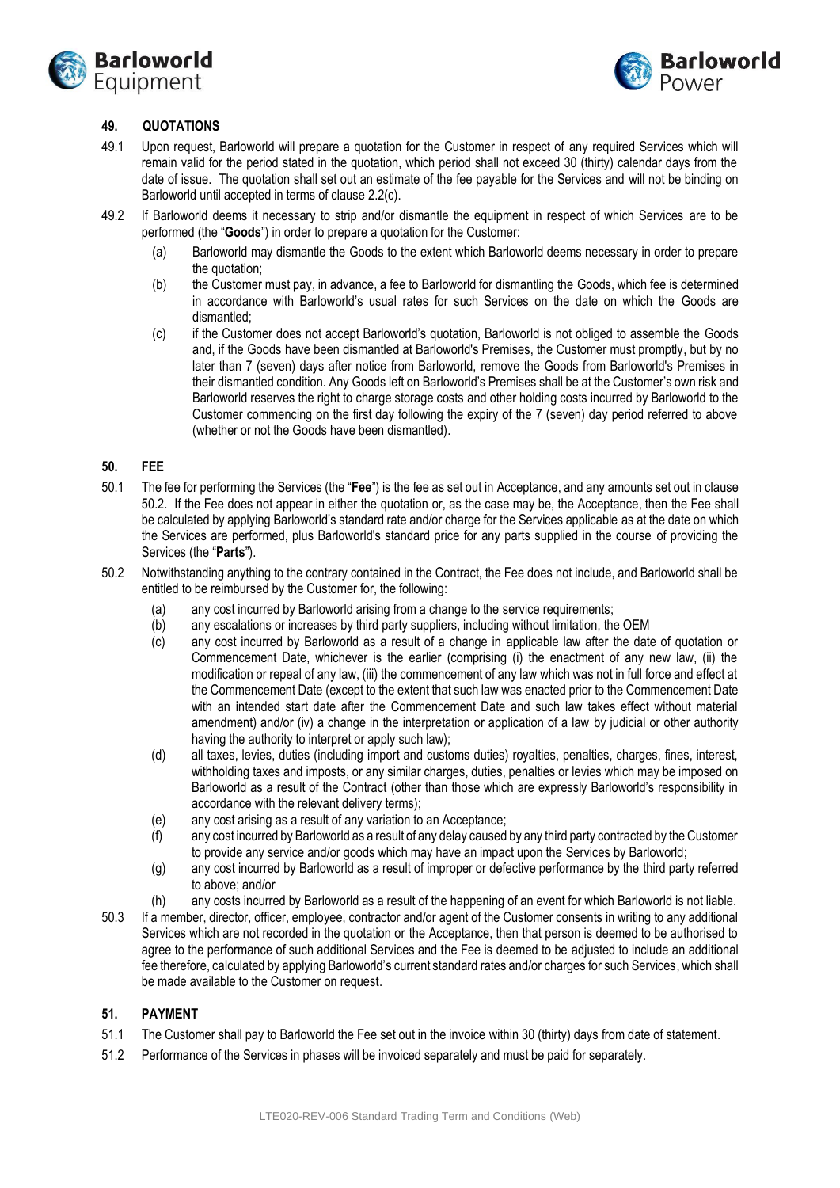



## **49. QUOTATIONS**

- 49.1 Upon request, Barloworld will prepare a quotation for the Customer in respect of any required Services which will remain valid for the period stated in the quotation, which period shall not exceed 30 (thirty) calendar days from the date of issue. The quotation shall set out an estimate of the fee payable for the Services and will not be binding on Barloworld until accepted in terms of clause 2.2(c).
- 49.2 If Barloworld deems it necessary to strip and/or dismantle the equipment in respect of which Services are to be performed (the "**Goods**") in order to prepare a quotation for the Customer:
	- (a) Barloworld may dismantle the Goods to the extent which Barloworld deems necessary in order to prepare the quotation;
	- (b) the Customer must pay, in advance, a fee to Barloworld for dismantling the Goods, which fee is determined in accordance with Barloworld's usual rates for such Services on the date on which the Goods are dismantled;
	- (c) if the Customer does not accept Barloworld's quotation, Barloworld is not obliged to assemble the Goods and, if the Goods have been dismantled at Barloworld's Premises, the Customer must promptly, but by no later than 7 (seven) days after notice from Barloworld, remove the Goods from Barloworld's Premises in their dismantled condition. Any Goods left on Barloworld's Premises shall be at the Customer's own risk and Barloworld reserves the right to charge storage costs and other holding costs incurred by Barloworld to the Customer commencing on the first day following the expiry of the 7 (seven) day period referred to above (whether or not the Goods have been dismantled).

### **50. FEE**

- 50.1 The fee for performing the Services (the "**Fee**") is the fee as set out in Acceptance, and any amounts set out in clause [50.2.](#page-19-0) If the Fee does not appear in either the quotation or, as the case may be, the Acceptance, then the Fee shall be calculated by applying Barloworld's standard rate and/or charge for the Services applicable as at the date on which the Services are performed, plus Barloworld's standard price for any parts supplied in the course of providing the Services (the "**Parts**").
- <span id="page-19-0"></span>50.2 Notwithstanding anything to the contrary contained in the Contract, the Fee does not include, and Barloworld shall be entitled to be reimbursed by the Customer for, the following:
	- (a) any cost incurred by Barloworld arising from a change to the service requirements;
	- (b) any escalations or increases by third party suppliers, including without limitation, the OEM
	- (c) any cost incurred by Barloworld as a result of a change in applicable law after the date of quotation or Commencement Date, whichever is the earlier (comprising (i) the enactment of any new law, (ii) the modification or repeal of any law, (iii) the commencement of any law which was not in full force and effect at the Commencement Date (except to the extent that such law was enacted prior to the Commencement Date with an intended start date after the Commencement Date and such law takes effect without material amendment) and/or (iv) a change in the interpretation or application of a law by judicial or other authority having the authority to interpret or apply such law);
	- (d) all taxes, levies, duties (including import and customs duties) royalties, penalties, charges, fines, interest, withholding taxes and imposts, or any similar charges, duties, penalties or levies which may be imposed on Barloworld as a result of the Contract (other than those which are expressly Barloworld's responsibility in accordance with the relevant delivery terms);
	- (e) any cost arising as a result of any variation to an Acceptance;
	- (f) any cost incurred by Barloworld as a result of any delay caused by any third party contracted by the Customer to provide any service and/or goods which may have an impact upon the Services by Barloworld;
	- (g) any cost incurred by Barloworld as a result of improper or defective performance by the third party referred to above; and/or
	- (h) any costs incurred by Barloworld as a result of the happening of an event for which Barloworld is not liable.
- 50.3 If a member, director, officer, employee, contractor and/or agent of the Customer consents in writing to any additional Services which are not recorded in the quotation or the Acceptance, then that person is deemed to be authorised to agree to the performance of such additional Services and the Fee is deemed to be adjusted to include an additional fee therefore, calculated by applying Barloworld's current standard rates and/or charges for such Services, which shall be made available to the Customer on request.

## **51. PAYMENT**

- 51.1 The Customer shall pay to Barloworld the Fee set out in the invoice within 30 (thirty) days from date of statement.
- 51.2 Performance of the Services in phases will be invoiced separately and must be paid for separately.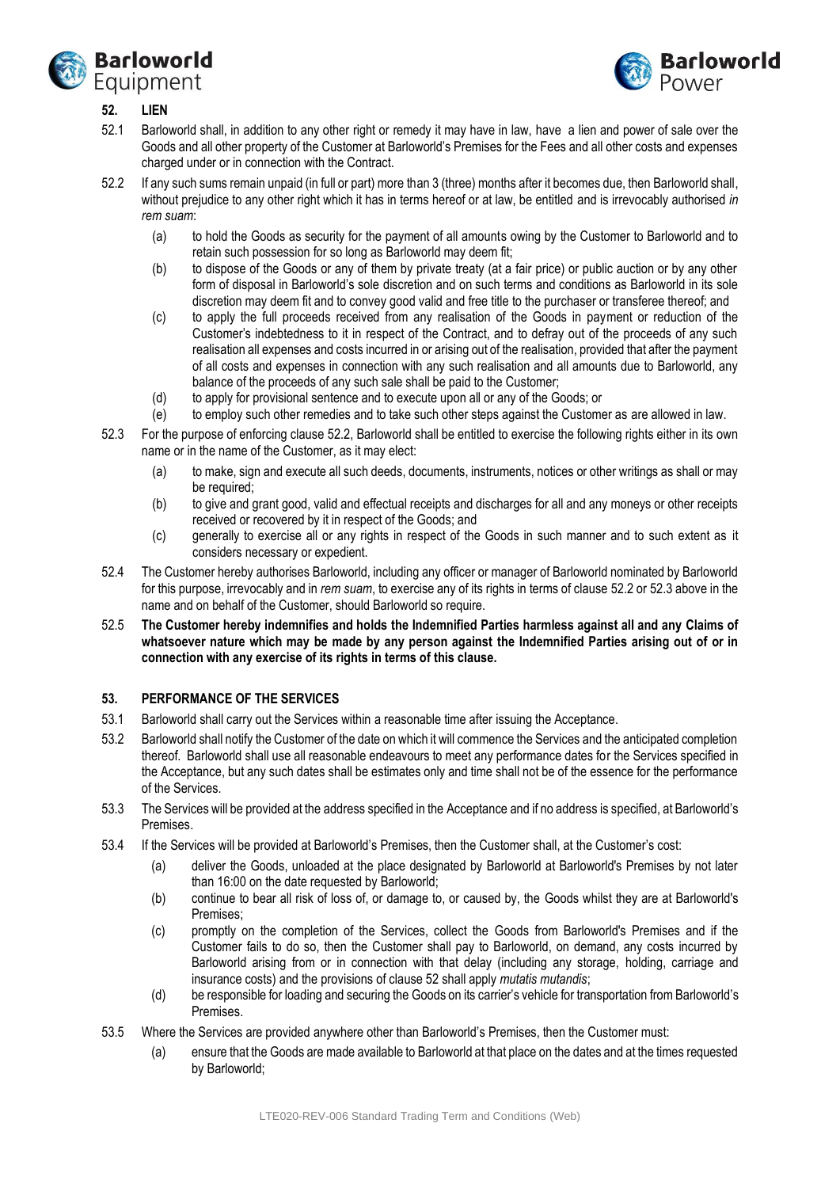



# <span id="page-20-2"></span>**52. LIEN**

- 52.1 Barloworld shall, in addition to any other right or remedy it may have in law, have a lien and power of sale over the Goods and all other property of the Customer at Barloworld's Premises for the Fees and all other costs and expenses charged under or in connection with the Contract.
- <span id="page-20-0"></span>52.2 If any such sums remain unpaid (in full or part) more than 3 (three) months after it becomes due, then Barloworld shall, without prejudice to any other right which it has in terms hereof or at law, be entitled and is irrevocably authorised *in rem suam*:
	- (a) to hold the Goods as security for the payment of all amounts owing by the Customer to Barloworld and to retain such possession for so long as Barloworld may deem fit;
	- (b) to dispose of the Goods or any of them by private treaty (at a fair price) or public auction or by any other form of disposal in Barloworld's sole discretion and on such terms and conditions as Barloworld in its sole discretion may deem fit and to convey good valid and free title to the purchaser or transferee thereof; and
	- (c) to apply the full proceeds received from any realisation of the Goods in payment or reduction of the Customer's indebtedness to it in respect of the Contract, and to defray out of the proceeds of any such realisation all expenses and costs incurred in or arising out of the realisation, provided that after the payment of all costs and expenses in connection with any such realisation and all amounts due to Barloworld, any balance of the proceeds of any such sale shall be paid to the Customer;
	- (d) to apply for provisional sentence and to execute upon all or any of the Goods; or
	- (e) to employ such other remedies and to take such other steps against the Customer as are allowed in law.
- <span id="page-20-1"></span>52.3 For the purpose of enforcing clause [52.2,](#page-20-0) Barloworld shall be entitled to exercise the following rights either in its own name or in the name of the Customer, as it may elect:
	- (a) to make, sign and execute all such deeds, documents, instruments, notices or other writings as shall or may be required;
	- (b) to give and grant good, valid and effectual receipts and discharges for all and any moneys or other receipts received or recovered by it in respect of the Goods; and
	- (c) generally to exercise all or any rights in respect of the Goods in such manner and to such extent as it considers necessary or expedient.
- 52.4 The Customer hereby authorises Barloworld, including any officer or manager of Barloworld nominated by Barloworld for this purpose, irrevocably and in *rem suam*, to exercise any of its rights in terms of clause [52.2](#page-20-0) o[r 52.3](#page-20-1) above in the name and on behalf of the Customer, should Barloworld so require.
- 52.5 **The Customer hereby indemnifies and holds the Indemnified Parties harmless against all and any Claims of whatsoever nature which may be made by any person against the Indemnified Parties arising out of or in connection with any exercise of its rights in terms of this clause.**

## **53. PERFORMANCE OF THE SERVICES**

- 53.1 Barloworld shall carry out the Services within a reasonable time after issuing the Acceptance.
- 53.2 Barloworld shall notify the Customer of the date on which it will commence the Services and the anticipated completion thereof. Barloworld shall use all reasonable endeavours to meet any performance dates for the Services specified in the Acceptance, but any such dates shall be estimates only and time shall not be of the essence for the performance of the Services.
- 53.3 The Services will be provided at the address specified in the Acceptance and if no address is specified, at Barloworld's Premises.
- 53.4 If the Services will be provided at Barloworld's Premises, then the Customer shall, at the Customer's cost:
	- (a) deliver the Goods, unloaded at the place designated by Barloworld at Barloworld's Premises by not later than 16:00 on the date requested by Barloworld;
	- (b) continue to bear all risk of loss of, or damage to, or caused by, the Goods whilst they are at Barloworld's Premises;
	- (c) promptly on the completion of the Services, collect the Goods from Barloworld's Premises and if the Customer fails to do so, then the Customer shall pay to Barloworld, on demand, any costs incurred by Barloworld arising from or in connection with that delay (including any storage, holding, carriage and insurance costs) and the provisions of claus[e 52](#page-20-2) shall apply *mutatis mutandis*;
	- (d) be responsible for loading and securing the Goods on its carrier's vehicle for transportation from Barloworld's Premises.
- 53.5 Where the Services are provided anywhere other than Barloworld's Premises, then the Customer must:
	- (a) ensure that the Goods are made available to Barloworld at that place on the dates and at the times requested by Barloworld;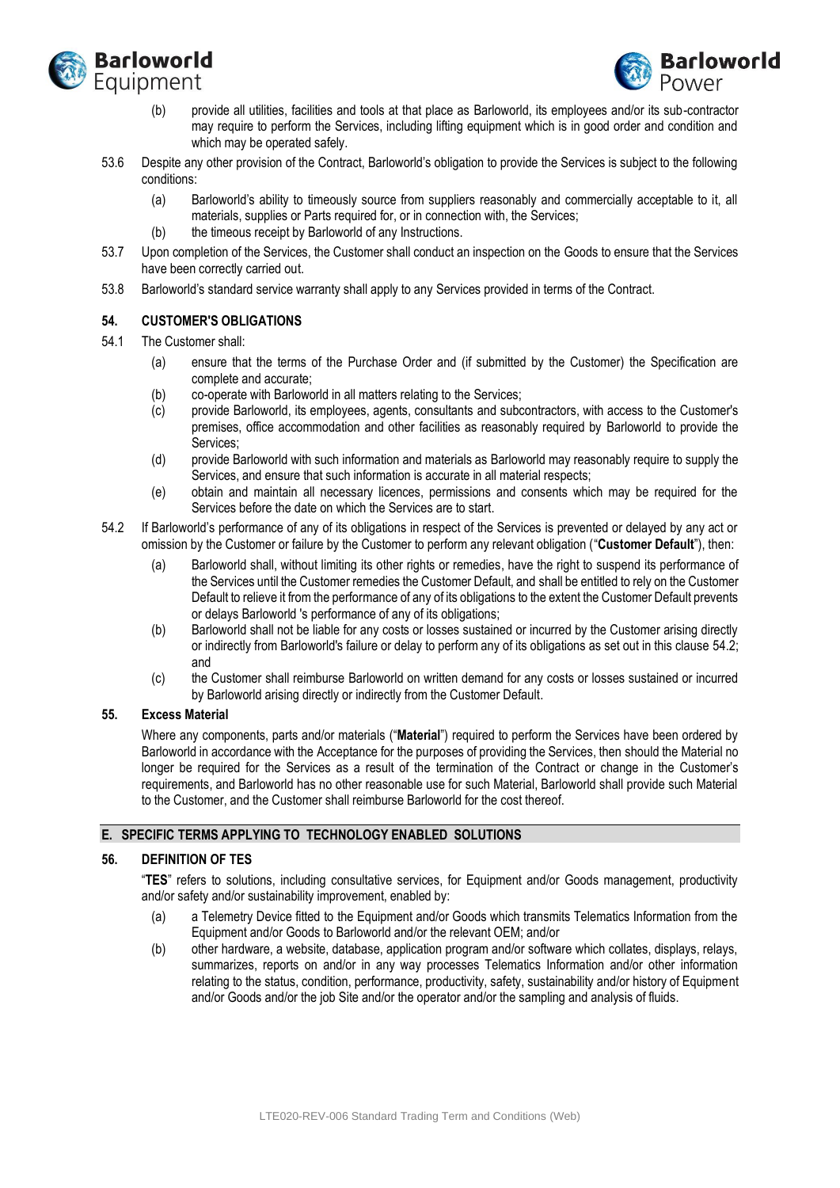



- (b) provide all utilities, facilities and tools at that place as Barloworld, its employees and/or its sub-contractor may require to perform the Services, including lifting equipment which is in good order and condition and which may be operated safely.
- 53.6 Despite any other provision of the Contract, Barloworld's obligation to provide the Services is subject to the following conditions:
	- (a) Barloworld's ability to timeously source from suppliers reasonably and commercially acceptable to it, all materials, supplies or Parts required for, or in connection with, the Services;
	- (b) the timeous receipt by Barloworld of any Instructions.
- 53.7 Upon completion of the Services, the Customer shall conduct an inspection on the Goods to ensure that the Services have been correctly carried out.
- 53.8 Barloworld's standard service warranty shall apply to any Services provided in terms of the Contract.

## **54. CUSTOMER'S OBLIGATIONS**

- 54.1 The Customer shall:
	- (a) ensure that the terms of the Purchase Order and (if submitted by the Customer) the Specification are complete and accurate;
	- (b) co-operate with Barloworld in all matters relating to the Services;
	- (c) provide Barloworld, its employees, agents, consultants and subcontractors, with access to the Customer's premises, office accommodation and other facilities as reasonably required by Barloworld to provide the Services;
	- (d) provide Barloworld with such information and materials as Barloworld may reasonably require to supply the Services, and ensure that such information is accurate in all material respects;
	- (e) obtain and maintain all necessary licences, permissions and consents which may be required for the Services before the date on which the Services are to start.
- <span id="page-21-0"></span>54.2 If Barloworld's performance of any of its obligations in respect of the Services is prevented or delayed by any act or omission by the Customer or failure by the Customer to perform any relevant obligation ("**Customer Default**"), then:
	- (a) Barloworld shall, without limiting its other rights or remedies, have the right to suspend its performance of the Services until the Customer remedies the Customer Default, and shall be entitled to rely on the Customer Default to relieve it from the performance of any of its obligations to the extent the Customer Default prevents or delays Barloworld 's performance of any of its obligations;
	- (b) Barloworld shall not be liable for any costs or losses sustained or incurred by the Customer arising directly or indirectly from Barloworld's failure or delay to perform any of its obligations as set out in this clause [54.2;](#page-21-0) and
	- (c) the Customer shall reimburse Barloworld on written demand for any costs or losses sustained or incurred by Barloworld arising directly or indirectly from the Customer Default.

## **55. Excess Material**

Where any components, parts and/or materials ("**Material**") required to perform the Services have been ordered by Barloworld in accordance with the Acceptance for the purposes of providing the Services, then should the Material no longer be required for the Services as a result of the termination of the Contract or change in the Customer's requirements, and Barloworld has no other reasonable use for such Material, Barloworld shall provide such Material to the Customer, and the Customer shall reimburse Barloworld for the cost thereof.

#### **E. SPECIFIC TERMS APPLYING TO TECHNOLOGY ENABLED SOLUTIONS**

## **56. DEFINITION OF TES**

"**TES**" refers to solutions, including consultative services, for Equipment and/or Goods management, productivity and/or safety and/or sustainability improvement, enabled by:

- (a) a Telemetry Device fitted to the Equipment and/or Goods which transmits Telematics Information from the Equipment and/or Goods to Barloworld and/or the relevant OEM; and/or
- (b) other hardware, a website, database, application program and/or software which collates, displays, relays, summarizes, reports on and/or in any way processes Telematics Information and/or other information relating to the status, condition, performance, productivity, safety, sustainability and/or history of Equipment and/or Goods and/or the job Site and/or the operator and/or the sampling and analysis of fluids.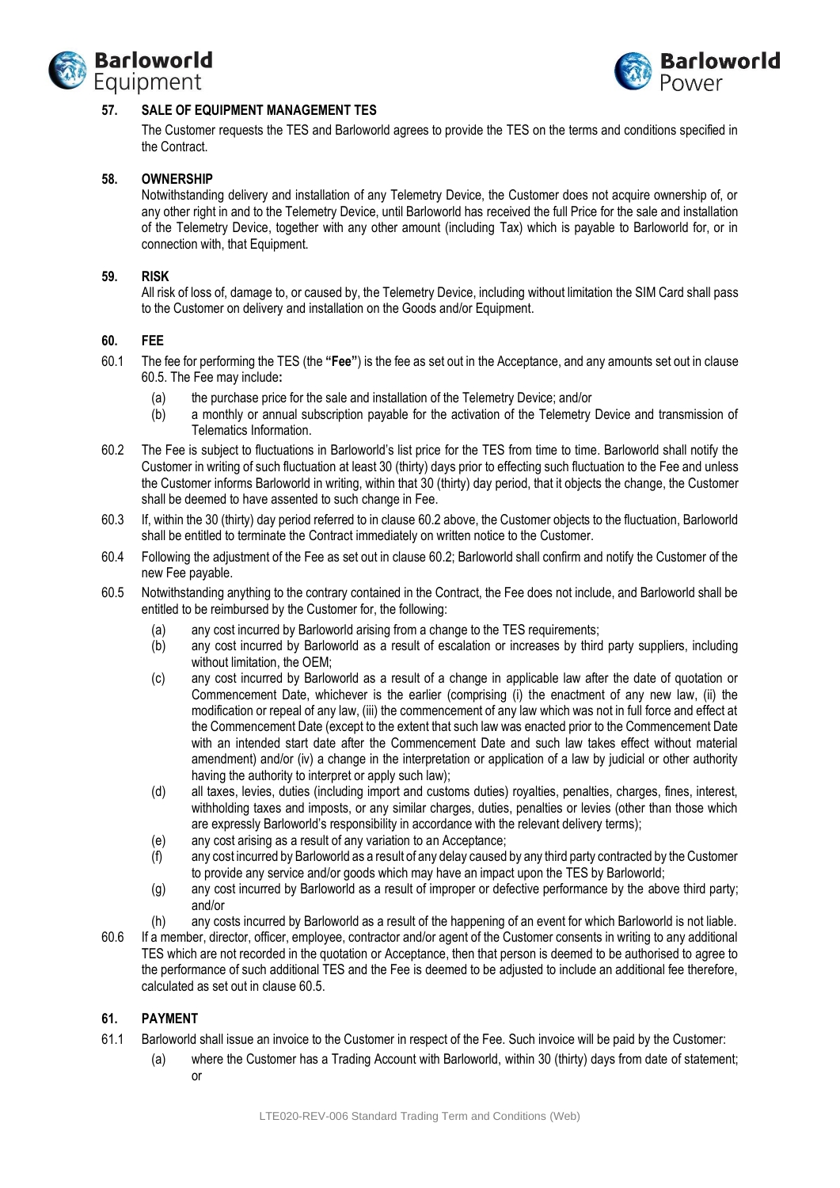



## **57. SALE OF EQUIPMENT MANAGEMENT TES**

The Customer requests the TES and Barloworld agrees to provide the TES on the terms and conditions specified in the Contract.

### **58. OWNERSHIP**

Notwithstanding delivery and installation of any Telemetry Device, the Customer does not acquire ownership of, or any other right in and to the Telemetry Device, until Barloworld has received the full Price for the sale and installation of the Telemetry Device, together with any other amount (including Tax) which is payable to Barloworld for, or in connection with, that Equipment.

### **59. RISK**

All risk of loss of, damage to, or caused by, the Telemetry Device, including without limitation the SIM Card shall pass to the Customer on delivery and installation on the Goods and/or Equipment.

### **60. FEE**

- 60.1 The fee for performing the TES (the **"Fee"**) is the fee as set out in the Acceptance, and any amounts set out in clause [60.5.](#page-22-0) The Fee may include**:**
	- (a) the purchase price for the sale and installation of the Telemetry Device; and/or
	- (b) a monthly or annual subscription payable for the activation of the Telemetry Device and transmission of Telematics Information.
- <span id="page-22-1"></span>60.2 The Fee is subject to fluctuations in Barloworld's list price for the TES from time to time. Barloworld shall notify the Customer in writing of such fluctuation at least 30 (thirty) days prior to effecting such fluctuation to the Fee and unless the Customer informs Barloworld in writing, within that 30 (thirty) day period, that it objects the change, the Customer shall be deemed to have assented to such change in Fee.
- 60.3 If, within the 30 (thirty) day period referred to in claus[e 60.2](#page-22-1) above, the Customer objects to the fluctuation, Barloworld shall be entitled to terminate the Contract immediately on written notice to the Customer.
- 60.4 Following the adjustment of the Fee as set out in clause [60.2;](#page-22-1) Barloworld shall confirm and notify the Customer of the new Fee payable.
- <span id="page-22-0"></span>60.5 Notwithstanding anything to the contrary contained in the Contract, the Fee does not include, and Barloworld shall be entitled to be reimbursed by the Customer for, the following:
	- (a) any cost incurred by Barloworld arising from a change to the TES requirements;
	- (b) any cost incurred by Barloworld as a result of escalation or increases by third party suppliers, including without limitation, the OEM;
	- (c) any cost incurred by Barloworld as a result of a change in applicable law after the date of quotation or Commencement Date, whichever is the earlier (comprising (i) the enactment of any new law, (ii) the modification or repeal of any law, (iii) the commencement of any law which was not in full force and effect at the Commencement Date (except to the extent that such law was enacted prior to the Commencement Date with an intended start date after the Commencement Date and such law takes effect without material amendment) and/or (iv) a change in the interpretation or application of a law by judicial or other authority having the authority to interpret or apply such law);
	- (d) all taxes, levies, duties (including import and customs duties) royalties, penalties, charges, fines, interest, withholding taxes and imposts, or any similar charges, duties, penalties or levies (other than those which are expressly Barloworld's responsibility in accordance with the relevant delivery terms);
	- (e) any cost arising as a result of any variation to an Acceptance;
	- (f) any cost incurred by Barloworld as a result of any delay caused by any third party contracted by the Customer to provide any service and/or goods which may have an impact upon the TES by Barloworld;
	- (g) any cost incurred by Barloworld as a result of improper or defective performance by the above third party; and/or
	- (h) any costs incurred by Barloworld as a result of the happening of an event for which Barloworld is not liable.
- 60.6 If a member, director, officer, employee, contractor and/or agent of the Customer consents in writing to any additional TES which are not recorded in the quotation or Acceptance, then that person is deemed to be authorised to agree to the performance of such additional TES and the Fee is deemed to be adjusted to include an additional fee therefore, calculated as set out in clause [60.5.](#page-22-0)

## **61. PAYMENT**

- 61.1 Barloworld shall issue an invoice to the Customer in respect of the Fee. Such invoice will be paid by the Customer:
	- (a) where the Customer has a Trading Account with Barloworld, within 30 (thirty) days from date of statement; or